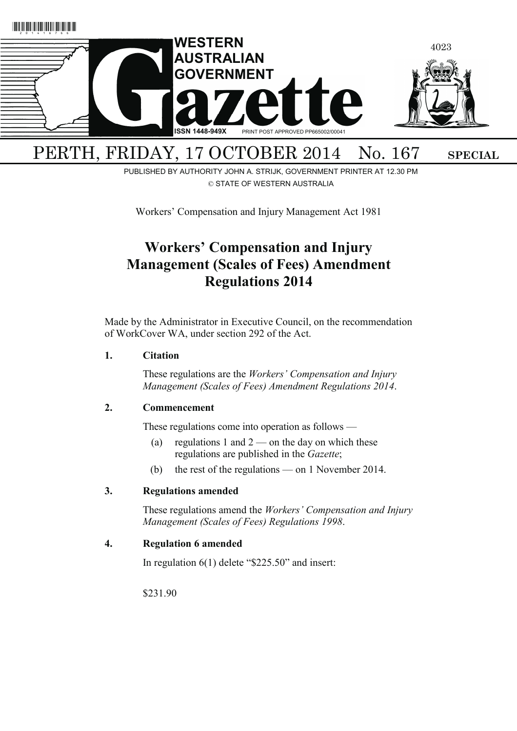

# PUBLISHED BY AUTHORITY JOHN A. STRIJK, GOVERNMENT PRINTER AT 12.30 PM

© STATE OF WESTERN AUSTRALIA

Workers' Compensation and Injury Management Act 1981

# **Workers' Compensation and Injury Management (Scales of Fees) Amendment Regulations 2014**

Made by the Administrator in Executive Council, on the recommendation of WorkCover WA, under section 292 of the Act.

### **1. Citation**

 These regulations are the *Workers' Compensation and Injury Management (Scales of Fees) Amendment Regulations 2014*.

### **2. Commencement**

These regulations come into operation as follows —

- (a) regulations 1 and  $2$  on the day on which these regulations are published in the *Gazette*;
- (b) the rest of the regulations on 1 November 2014.

### **3. Regulations amended**

 These regulations amend the *Workers' Compensation and Injury Management (Scales of Fees) Regulations 1998*.

### **4. Regulation 6 amended**

In regulation 6(1) delete "\$225.50" and insert:

\$231.90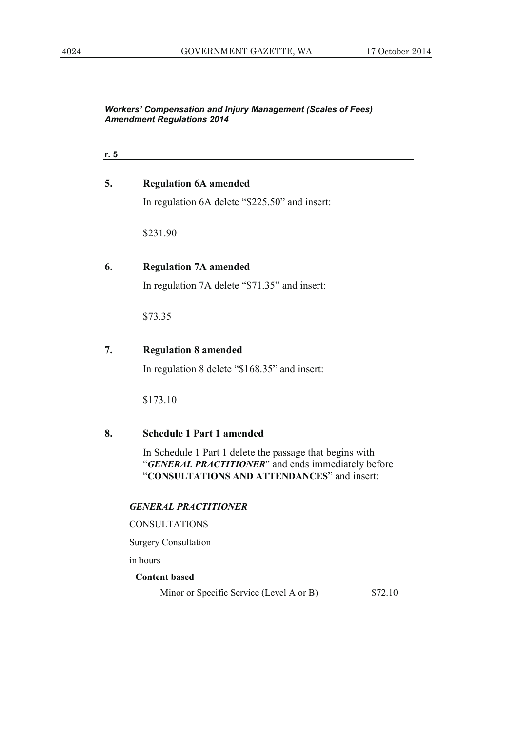| . . |  |  |
|-----|--|--|
|     |  |  |

| 5. | <b>Regulation 6A amended</b> |
|----|------------------------------|
|----|------------------------------|

In regulation 6A delete "\$225.50" and insert:

\$231.90

### **6. Regulation 7A amended**

In regulation 7A delete "\$71.35" and insert:

\$73.35

### **7. Regulation 8 amended**

In regulation 8 delete "\$168.35" and insert:

\$173.10

### **8. Schedule 1 Part 1 amended**

 In Schedule 1 Part 1 delete the passage that begins with "*GENERAL PRACTITIONER*" and ends immediately before "**CONSULTATIONS AND ATTENDANCES**" and insert:

#### *GENERAL PRACTITIONER*

### CONSULTATIONS

Surgery Consultation

in hours

### **Content based**

Minor or Specific Service (Level A or B) \$72.10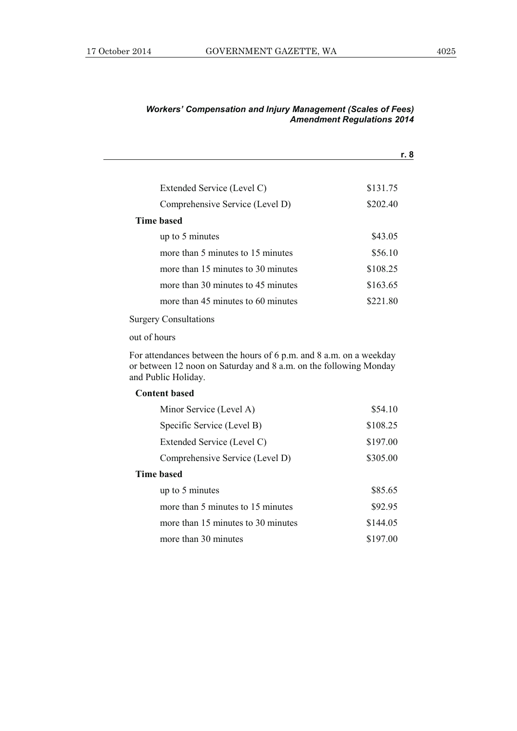|                                    | r. 8     |
|------------------------------------|----------|
|                                    |          |
| Extended Service (Level C)         | \$131.75 |
| Comprehensive Service (Level D)    | \$202.40 |
| Time based                         |          |
| up to 5 minutes                    | \$43.05  |
| more than 5 minutes to 15 minutes  | \$56.10  |
| more than 15 minutes to 30 minutes | \$108.25 |
| more than 30 minutes to 45 minutes | \$163.65 |
| more than 45 minutes to 60 minutes | \$221.80 |
|                                    |          |

### Surgery Consultations

out of hours

For attendances between the hours of 6 p.m. and 8 a.m. on a weekday or between 12 noon on Saturday and 8 a.m. on the following Monday and Public Holiday.

### **Content based**

| Minor Service (Level A)            | \$54.10  |  |  |
|------------------------------------|----------|--|--|
| Specific Service (Level B)         | \$108.25 |  |  |
| Extended Service (Level C)         | \$197.00 |  |  |
| Comprehensive Service (Level D)    | \$305.00 |  |  |
| Time based                         |          |  |  |
| up to 5 minutes                    | \$85.65  |  |  |
| more than 5 minutes to 15 minutes  | \$92.95  |  |  |
| more than 15 minutes to 30 minutes | \$144.05 |  |  |
| more than 30 minutes               | \$197.00 |  |  |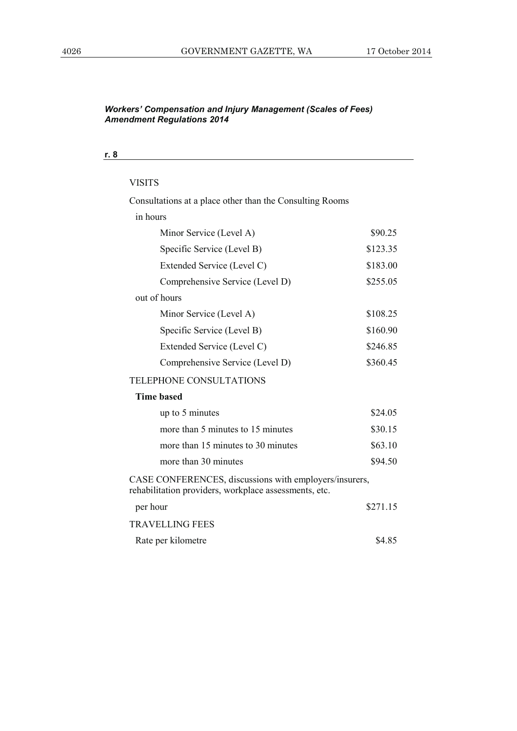| ٦<br>×<br>v.<br>v |
|-------------------|
|-------------------|

| <b>VISITS</b>                                                                                                   |          |
|-----------------------------------------------------------------------------------------------------------------|----------|
| Consultations at a place other than the Consulting Rooms                                                        |          |
| in hours                                                                                                        |          |
| Minor Service (Level A)                                                                                         | \$90.25  |
| Specific Service (Level B)                                                                                      | \$123.35 |
| Extended Service (Level C)                                                                                      | \$183.00 |
| Comprehensive Service (Level D)                                                                                 | \$255.05 |
| out of hours                                                                                                    |          |
| Minor Service (Level A)                                                                                         | \$108.25 |
| Specific Service (Level B)                                                                                      | \$160.90 |
| Extended Service (Level C)                                                                                      | \$246.85 |
| Comprehensive Service (Level D)                                                                                 | \$360.45 |
| <b>TELEPHONE CONSULTATIONS</b>                                                                                  |          |
| <b>Time based</b>                                                                                               |          |
| up to 5 minutes                                                                                                 | \$24.05  |
| more than 5 minutes to 15 minutes                                                                               | \$30.15  |
| more than 15 minutes to 30 minutes                                                                              | \$63.10  |
| more than 30 minutes                                                                                            | \$94.50  |
| CASE CONFERENCES, discussions with employers/insurers,<br>rehabilitation providers, workplace assessments, etc. |          |
| per hour                                                                                                        | \$271.15 |
| <b>TRAVELLING FEES</b>                                                                                          |          |
| Rate per kilometre                                                                                              | \$4.85   |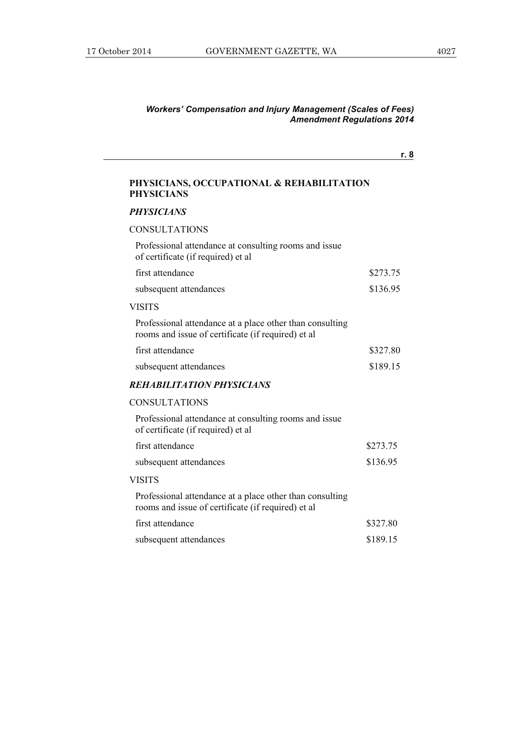**r. 8**

### **PHYSICIANS, OCCUPATIONAL & REHABILITATION PHYSICIANS**

#### *PHYSICIANS*

### CONSULTATIONS

Professional attendance at consulting rooms and issue of certificate (if required) et al

| first attendance       | \$273.75 |
|------------------------|----------|
| subsequent attendances | \$136.95 |

#### VISITS

Professional attendance at a place other than consulting rooms and issue of certificate (if required) et al

| first attendance       | \$327.80 |
|------------------------|----------|
| subsequent attendances | \$189.15 |

#### *REHABILITATION PHYSICIANS*

#### CONSULTATIONS

| Professional attendance at consulting rooms and issue<br>of certificate (if required) et al.                    |          |
|-----------------------------------------------------------------------------------------------------------------|----------|
| first attendance                                                                                                | \$273.75 |
| subsequent attendances                                                                                          | \$136.95 |
| VISITS                                                                                                          |          |
| Professional attendance at a place other than consulting<br>rooms and issue of certificate (if required) et al. |          |
| first attendance                                                                                                | \$327.80 |
| subsequent attendances                                                                                          | \$189.15 |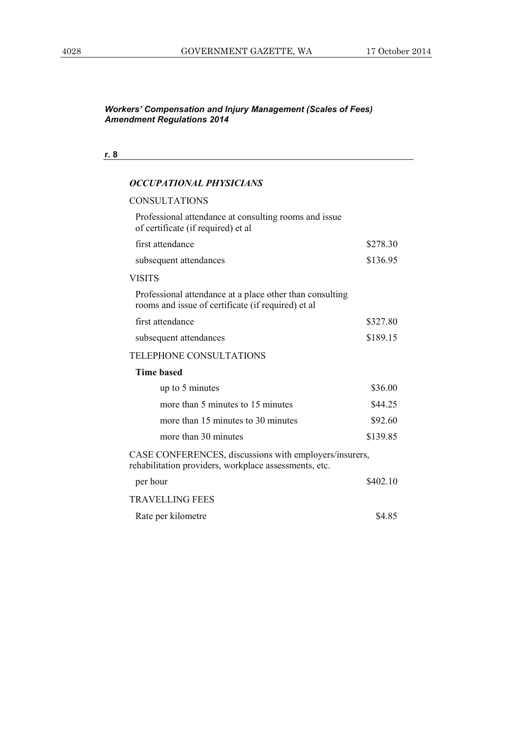### **r. 8**

### *OCCUPATIONAL PHYSICIANS*

| CONSULTATIONS                                                                                                   |          |
|-----------------------------------------------------------------------------------------------------------------|----------|
| Professional attendance at consulting rooms and issue.<br>of certificate (if required) et al                    |          |
| first attendance                                                                                                | \$278.30 |
| subsequent attendances                                                                                          | \$136.95 |
| <b>VISITS</b>                                                                                                   |          |
| Professional attendance at a place other than consulting<br>rooms and issue of certificate (if required) et al  |          |
| first attendance                                                                                                | \$327.80 |
| subsequent attendances                                                                                          | \$189.15 |
| <b>TELEPHONE CONSULTATIONS</b>                                                                                  |          |
| <b>Time based</b>                                                                                               |          |
| up to 5 minutes                                                                                                 | \$36.00  |
| more than 5 minutes to 15 minutes                                                                               | \$44.25  |
| more than 15 minutes to 30 minutes                                                                              | \$92.60  |
| more than 30 minutes                                                                                            | \$139.85 |
| CASE CONFERENCES, discussions with employers/insurers,<br>rehabilitation providers, workplace assessments, etc. |          |
| per hour                                                                                                        | \$402.10 |
| <b>TRAVELLING FEES</b>                                                                                          |          |
| Rate per kilometre                                                                                              | \$4.85   |
|                                                                                                                 |          |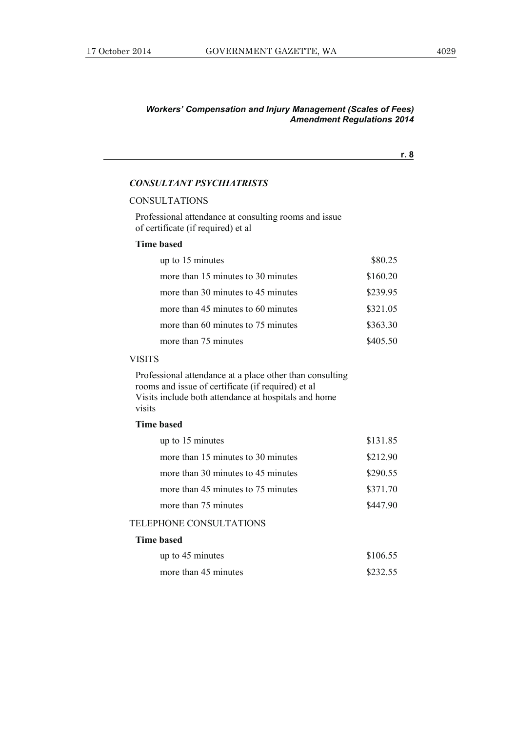**r. 8**

### *CONSULTANT PSYCHIATRISTS*

### CONSULTATIONS

Professional attendance at consulting rooms and issue of certificate (if required) et al

### **Time based**

| up to 15 minutes                   | \$80.25  |
|------------------------------------|----------|
| more than 15 minutes to 30 minutes | \$160.20 |
| more than 30 minutes to 45 minutes | \$239.95 |
| more than 45 minutes to 60 minutes | \$321.05 |
| more than 60 minutes to 75 minutes | \$363.30 |
| more than 75 minutes               | \$405.50 |

### VISITS

Professional attendance at a place other than consulting rooms and issue of certificate (if required) et al Visits include both attendance at hospitals and home visits

### **Time based**

| up to 15 minutes                   | \$131.85 |
|------------------------------------|----------|
| more than 15 minutes to 30 minutes | \$212.90 |
| more than 30 minutes to 45 minutes | \$290.55 |
| more than 45 minutes to 75 minutes | \$371.70 |
| more than 75 minutes               | \$447.90 |
|                                    |          |

### TELEPHONE CONSULTATIONS

### **Time based**

| up to 45 minutes     | \$106.55 |
|----------------------|----------|
| more than 45 minutes | \$232.55 |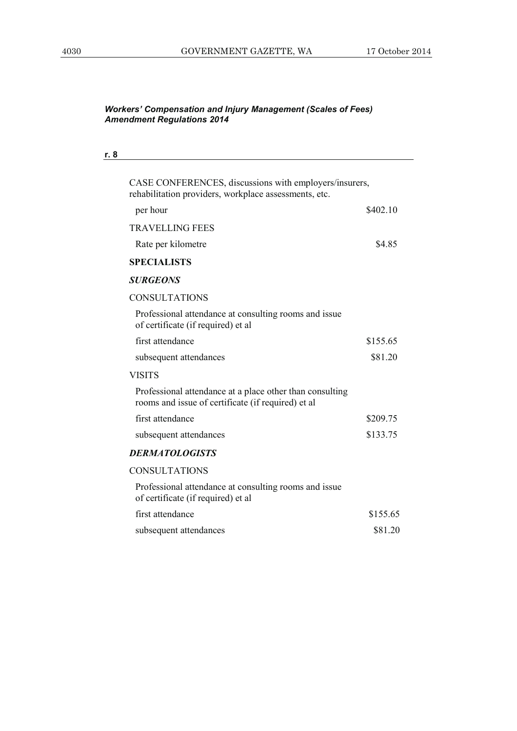| r. 8 |                                                                                                                 |          |
|------|-----------------------------------------------------------------------------------------------------------------|----------|
|      | CASE CONFERENCES, discussions with employers/insurers,<br>rehabilitation providers, workplace assessments, etc. |          |
|      | per hour                                                                                                        | \$402.10 |
|      | <b>TRAVELLING FEES</b>                                                                                          |          |
|      | Rate per kilometre                                                                                              | \$4.85   |
|      | <b>SPECIALISTS</b>                                                                                              |          |
|      | <b>SURGEONS</b>                                                                                                 |          |
|      | <b>CONSULTATIONS</b>                                                                                            |          |
|      | Professional attendance at consulting rooms and issue<br>of certificate (if required) et al                     |          |
|      | first attendance                                                                                                | \$155.65 |
|      | subsequent attendances                                                                                          | \$81.20  |
|      | <b>VISITS</b>                                                                                                   |          |
|      | Professional attendance at a place other than consulting<br>rooms and issue of certificate (if required) et al  |          |
|      | first attendance                                                                                                | \$209.75 |
|      | subsequent attendances                                                                                          | \$133.75 |
|      | <b>DERMATOLOGISTS</b>                                                                                           |          |
|      | <b>CONSULTATIONS</b>                                                                                            |          |
|      | Professional attendance at consulting rooms and issue<br>of certificate (if required) et al                     |          |
|      | first attendance                                                                                                | \$155.65 |
|      | subsequent attendances                                                                                          | \$81.20  |
|      |                                                                                                                 |          |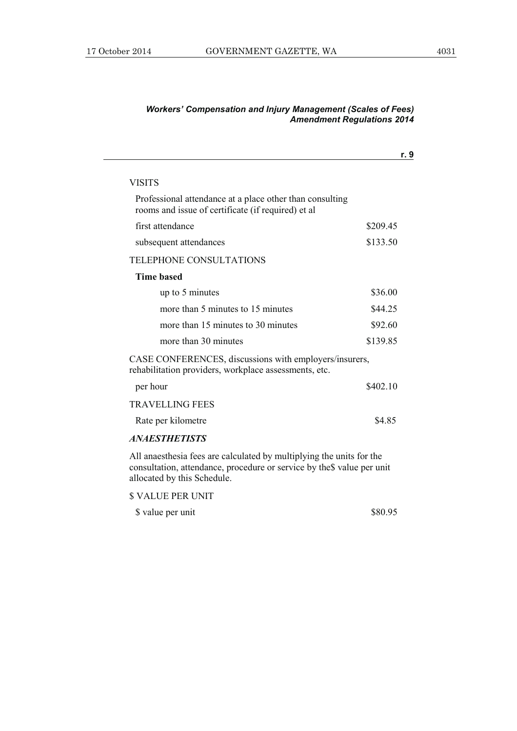|                                                                                                                 | r. 9     |
|-----------------------------------------------------------------------------------------------------------------|----------|
| VISITS                                                                                                          |          |
| Professional attendance at a place other than consulting<br>rooms and issue of certificate (if required) et al  |          |
| first attendance                                                                                                | \$209.45 |
| subsequent attendances                                                                                          | \$133.50 |
| <b>TELEPHONE CONSULTATIONS</b>                                                                                  |          |
| <b>Time based</b>                                                                                               |          |
| up to 5 minutes                                                                                                 | \$36.00  |
| more than 5 minutes to 15 minutes                                                                               | \$44.25  |
| more than 15 minutes to 30 minutes                                                                              | \$92.60  |
| more than 30 minutes                                                                                            | \$139.85 |
| CASE CONFERENCES, discussions with employers/insurers,<br>rehabilitation providers, workplace assessments, etc. |          |
| per hour                                                                                                        | \$402.10 |
| <b>TRAVELLING FEES</b>                                                                                          |          |
| Rate per kilometre                                                                                              | \$4.85   |
| <i><b>ANAESTHETISTS</b></i>                                                                                     |          |
| All anaesthesia fees are calculated by multiplying the units for the                                            |          |

consultation, attendance, procedure or service by the\$ value per unit allocated by this Schedule.

\$ VALUE PER UNIT

\$\, value per unit \$80.95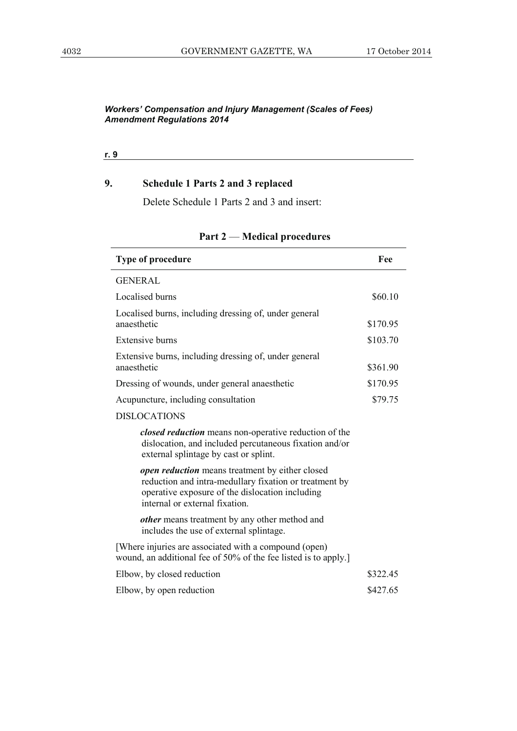**r. 9**

### **9. Schedule 1 Parts 2 and 3 replaced**

Delete Schedule 1 Parts 2 and 3 and insert:

| Type of procedure                                                                                                                                                                              | Fee      |
|------------------------------------------------------------------------------------------------------------------------------------------------------------------------------------------------|----------|
| <b>GENERAL</b>                                                                                                                                                                                 |          |
| Localised burns                                                                                                                                                                                | \$60.10  |
| Localised burns, including dressing of, under general<br>anaesthetic                                                                                                                           | \$170.95 |
| <b>Extensive burns</b>                                                                                                                                                                         | \$103.70 |
| Extensive burns, including dressing of, under general<br>anaesthetic                                                                                                                           | \$361.90 |
| Dressing of wounds, under general anaesthetic                                                                                                                                                  | \$170.95 |
| Acupuncture, including consultation                                                                                                                                                            | \$79.75  |
| <b>DISLOCATIONS</b>                                                                                                                                                                            |          |
| closed reduction means non-operative reduction of the<br>dislocation, and included percutaneous fixation and/or<br>external splintage by cast or splint.                                       |          |
| open reduction means treatment by either closed<br>reduction and intra-medullary fixation or treatment by<br>operative exposure of the dislocation including<br>internal or external fixation. |          |
| <i>other</i> means treatment by any other method and<br>includes the use of external splintage.                                                                                                |          |
| [Where injuries are associated with a compound (open)<br>wound, an additional fee of 50% of the fee listed is to apply.]                                                                       |          |
| Elbow, by closed reduction                                                                                                                                                                     | \$322.45 |
| Elbow, by open reduction                                                                                                                                                                       | \$427.65 |

### **Part 2** — **Medical procedures**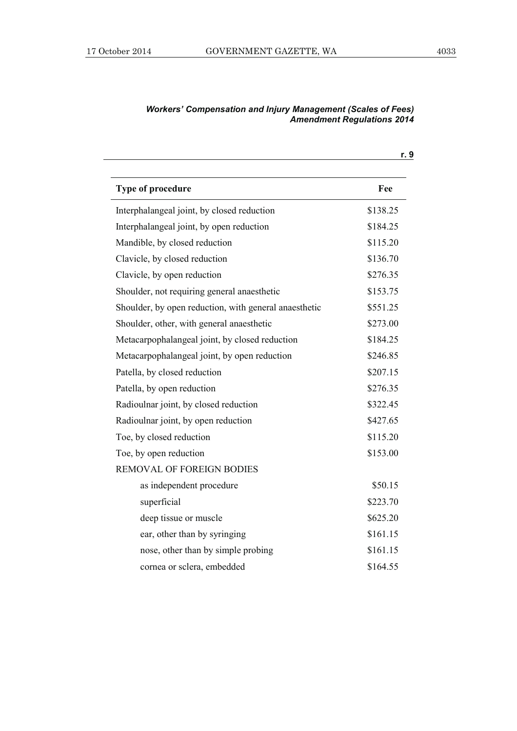| Type of procedure                                     | Fee      |
|-------------------------------------------------------|----------|
| Interphalangeal joint, by closed reduction            | \$138.25 |
| Interphalangeal joint, by open reduction              | \$184.25 |
| Mandible, by closed reduction                         | \$115.20 |
| Clavicle, by closed reduction                         | \$136.70 |
| Clavicle, by open reduction                           | \$276.35 |
| Shoulder, not requiring general anaesthetic           | \$153.75 |
| Shoulder, by open reduction, with general anaesthetic | \$551.25 |
| Shoulder, other, with general anaesthetic             | \$273.00 |
| Metacarpophalangeal joint, by closed reduction        | \$184.25 |
| Metacarpophalangeal joint, by open reduction          | \$246.85 |
| Patella, by closed reduction                          | \$207.15 |
| Patella, by open reduction                            | \$276.35 |
| Radioulnar joint, by closed reduction                 | \$322.45 |
| Radioulnar joint, by open reduction                   | \$427.65 |
| Toe, by closed reduction                              | \$115.20 |
| Toe, by open reduction                                | \$153.00 |
| <b>REMOVAL OF FOREIGN BODIES</b>                      |          |
| as independent procedure                              | \$50.15  |
| superficial                                           | \$223.70 |
| deep tissue or muscle                                 | \$625.20 |
| ear, other than by syringing                          | \$161.15 |
| nose, other than by simple probing                    | \$161.15 |
| cornea or sclera, embedded                            | \$164.55 |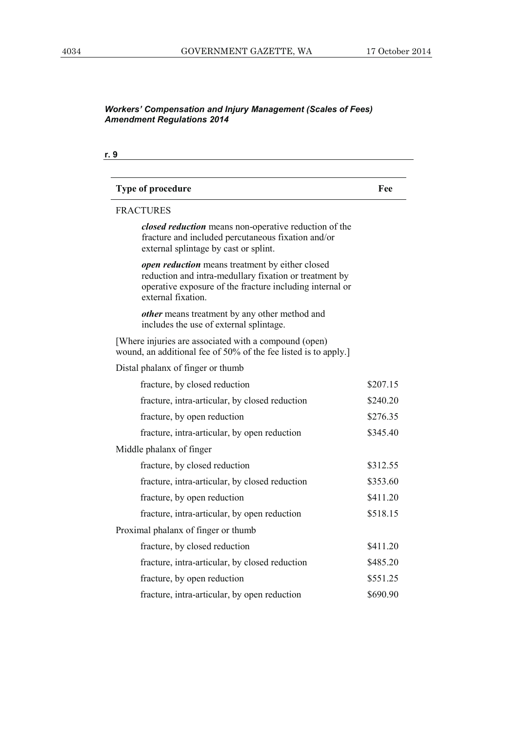| <b>Type of procedure</b>                                                                                                                                                                                  | Fee      |
|-----------------------------------------------------------------------------------------------------------------------------------------------------------------------------------------------------------|----------|
| <b>FRACTURES</b>                                                                                                                                                                                          |          |
| closed reduction means non-operative reduction of the<br>fracture and included percutaneous fixation and/or<br>external splintage by cast or splint.                                                      |          |
| <b><i>open reduction</i></b> means treatment by either closed<br>reduction and intra-medullary fixation or treatment by<br>operative exposure of the fracture including internal or<br>external fixation. |          |
| <i>other</i> means treatment by any other method and<br>includes the use of external splintage.                                                                                                           |          |
| [Where injuries are associated with a compound (open)<br>wound, an additional fee of 50% of the fee listed is to apply.]                                                                                  |          |
| Distal phalanx of finger or thumb                                                                                                                                                                         |          |
| fracture, by closed reduction                                                                                                                                                                             | \$207.15 |
| fracture, intra-articular, by closed reduction                                                                                                                                                            | \$240.20 |
| fracture, by open reduction                                                                                                                                                                               | \$276.35 |
| fracture, intra-articular, by open reduction                                                                                                                                                              | \$345.40 |
| Middle phalanx of finger                                                                                                                                                                                  |          |
| fracture, by closed reduction                                                                                                                                                                             | \$312.55 |
| fracture, intra-articular, by closed reduction                                                                                                                                                            | \$353.60 |
| fracture, by open reduction                                                                                                                                                                               | \$411.20 |
| fracture, intra-articular, by open reduction                                                                                                                                                              | \$518.15 |
| Proximal phalanx of finger or thumb                                                                                                                                                                       |          |
| fracture, by closed reduction                                                                                                                                                                             | \$411.20 |
| fracture, intra-articular, by closed reduction                                                                                                                                                            | \$485.20 |
| fracture, by open reduction                                                                                                                                                                               | \$551.25 |
| fracture, intra-articular, by open reduction                                                                                                                                                              | \$690.90 |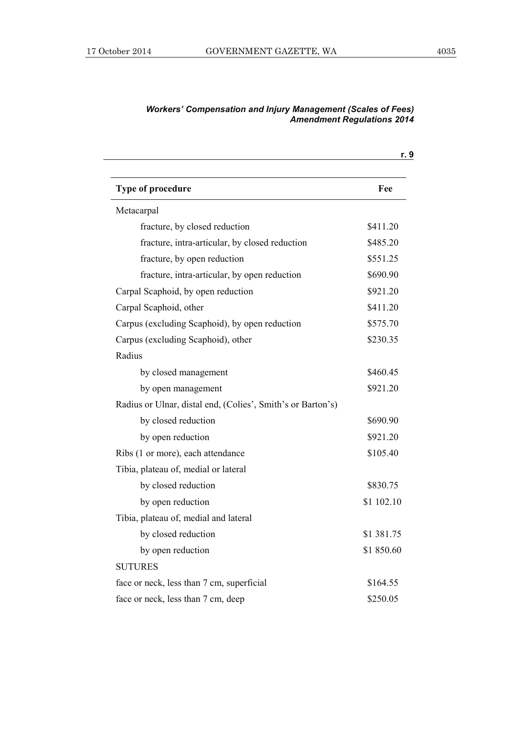|                                                             | r. 9       |
|-------------------------------------------------------------|------------|
| <b>Type of procedure</b>                                    | Fee        |
| Metacarpal                                                  |            |
| fracture, by closed reduction                               | \$411.20   |
| fracture, intra-articular, by closed reduction              | \$485.20   |
| fracture, by open reduction                                 | \$551.25   |
| fracture, intra-articular, by open reduction                | \$690.90   |
| Carpal Scaphoid, by open reduction                          | \$921.20   |
| Carpal Scaphoid, other                                      | \$411.20   |
| Carpus (excluding Scaphoid), by open reduction              | \$575.70   |
| Carpus (excluding Scaphoid), other                          | \$230.35   |
| Radius                                                      |            |
| by closed management                                        | \$460.45   |
| by open management                                          | \$921.20   |
| Radius or Ulnar, distal end, (Colies', Smith's or Barton's) |            |
| by closed reduction                                         | \$690.90   |
| by open reduction                                           | \$921.20   |
| Ribs (1 or more), each attendance                           | \$105.40   |
| Tibia, plateau of, medial or lateral                        |            |
| by closed reduction                                         | \$830.75   |
| by open reduction                                           | \$1 102.10 |
| Tibia, plateau of, medial and lateral                       |            |
| by closed reduction                                         | \$1 381.75 |
| by open reduction                                           | \$1850.60  |
| <b>SUTURES</b>                                              |            |
| face or neck, less than 7 cm, superficial                   | \$164.55   |
| face or neck, less than 7 cm, deep                          | \$250.05   |
|                                                             |            |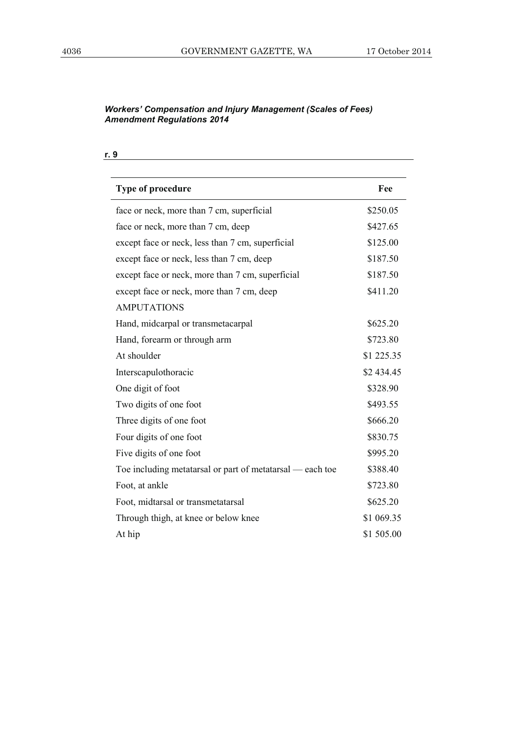| <b>Type of procedure</b>                                  | Fee        |
|-----------------------------------------------------------|------------|
| face or neck, more than 7 cm, superficial                 | \$250.05   |
| face or neck, more than 7 cm, deep                        | \$427.65   |
| except face or neck, less than 7 cm, superficial          | \$125.00   |
| except face or neck, less than 7 cm, deep                 | \$187.50   |
| except face or neck, more than 7 cm, superficial          | \$187.50   |
| except face or neck, more than 7 cm, deep                 | \$411.20   |
| <b>AMPUTATIONS</b>                                        |            |
| Hand, midcarpal or transmetacarpal                        | \$625.20   |
| Hand, forearm or through arm                              | \$723.80   |
| At shoulder                                               | \$1 225.35 |
| Interscapulothoracic                                      | \$2 434.45 |
| One digit of foot                                         | \$328.90   |
| Two digits of one foot                                    | \$493.55   |
| Three digits of one foot                                  | \$666.20   |
| Four digits of one foot                                   | \$830.75   |
| Five digits of one foot                                   | \$995.20   |
| Toe including metatarsal or part of metatarsal — each toe | \$388.40   |
| Foot, at ankle                                            | \$723.80   |
| Foot, midtarsal or transmetatarsal                        | \$625.20   |
| Through thigh, at knee or below knee                      | \$1 069.35 |
| At hip                                                    | \$1 505.00 |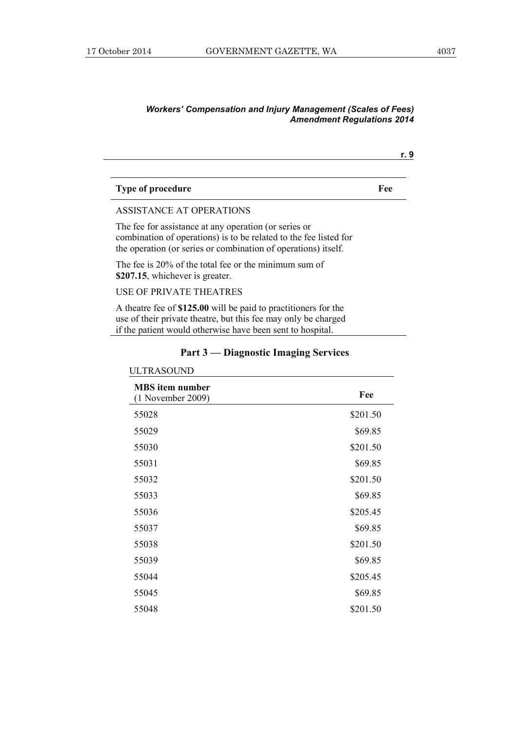| <b>Type of procedure</b> | Fee |
|--------------------------|-----|
|                          |     |

#### ASSISTANCE AT OPERATIONS

The fee for assistance at any operation (or series or combination of operations) is to be related to the fee listed for the operation (or series or combination of operations) itself.

The fee is 20% of the total fee or the minimum sum of **\$207.15**, whichever is greater.

### USE OF PRIVATE THEATRES

A theatre fee of **\$125.00** will be paid to practitioners for the use of their private theatre, but this fee may only be charged if the patient would otherwise have been sent to hospital.

| <b>ULTRASOUND</b>                          |          |
|--------------------------------------------|----------|
| <b>MBS</b> item number<br>1 November 2009) | Fee      |
| 55028                                      | \$201.50 |
| 55029                                      | \$69.85  |
| 55030                                      | \$201.50 |
| 55031                                      | \$69.85  |
| 55032                                      | \$201.50 |
| 55033                                      | \$69.85  |
| 55036                                      | \$205.45 |
| 55037                                      | \$69.85  |
| 55038                                      | \$201.50 |
| 55039                                      | \$69.85  |
| 55044                                      | \$205.45 |
| 55045                                      | \$69.85  |
| 55048                                      | \$201.50 |

### **Part 3 — Diagnostic Imaging Services**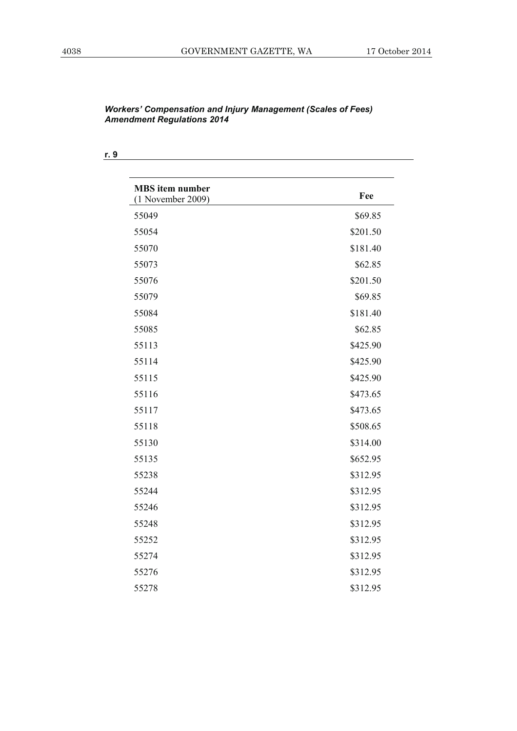| <b>MBS</b> item number<br>$(1$ November 2009) | Fee      |
|-----------------------------------------------|----------|
| 55049                                         | \$69.85  |
| 55054                                         | \$201.50 |
| 55070                                         | \$181.40 |
| 55073                                         | \$62.85  |
| 55076                                         | \$201.50 |
| 55079                                         | \$69.85  |
| 55084                                         | \$181.40 |
| 55085                                         | \$62.85  |
| 55113                                         | \$425.90 |
| 55114                                         | \$425.90 |
| 55115                                         | \$425.90 |
| 55116                                         | \$473.65 |
| 55117                                         | \$473.65 |
| 55118                                         | \$508.65 |
| 55130                                         | \$314.00 |
| 55135                                         | \$652.95 |
| 55238                                         | \$312.95 |
| 55244                                         | \$312.95 |
| 55246                                         | \$312.95 |
| 55248                                         | \$312.95 |
| 55252                                         | \$312.95 |
| 55274                                         | \$312.95 |
| 55276                                         | \$312.95 |
| 55278                                         | \$312.95 |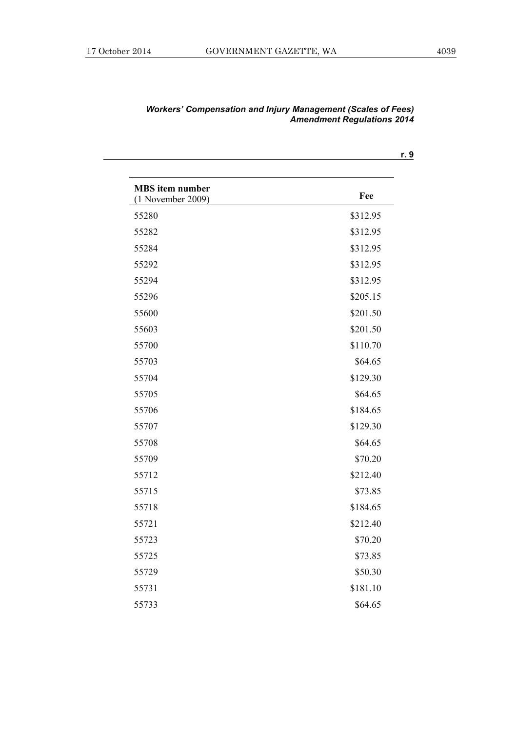| <b>MBS</b> item number<br>$(1$ November 2009) | Fee      |
|-----------------------------------------------|----------|
| 55280                                         | \$312.95 |
| 55282                                         | \$312.95 |
| 55284                                         | \$312.95 |
| 55292                                         | \$312.95 |
| 55294                                         | \$312.95 |
| 55296                                         | \$205.15 |
| 55600                                         | \$201.50 |
| 55603                                         | \$201.50 |
| 55700                                         | \$110.70 |
| 55703                                         | \$64.65  |
| 55704                                         | \$129.30 |
| 55705                                         | \$64.65  |
| 55706                                         | \$184.65 |
| 55707                                         | \$129.30 |
| 55708                                         | \$64.65  |
| 55709                                         | \$70.20  |
| 55712                                         | \$212.40 |
| 55715                                         | \$73.85  |
| 55718                                         | \$184.65 |
| 55721                                         | \$212.40 |
| 55723                                         | \$70.20  |
| 55725                                         | \$73.85  |
| 55729                                         | \$50.30  |
| 55731                                         | \$181.10 |
| 55733                                         | \$64.65  |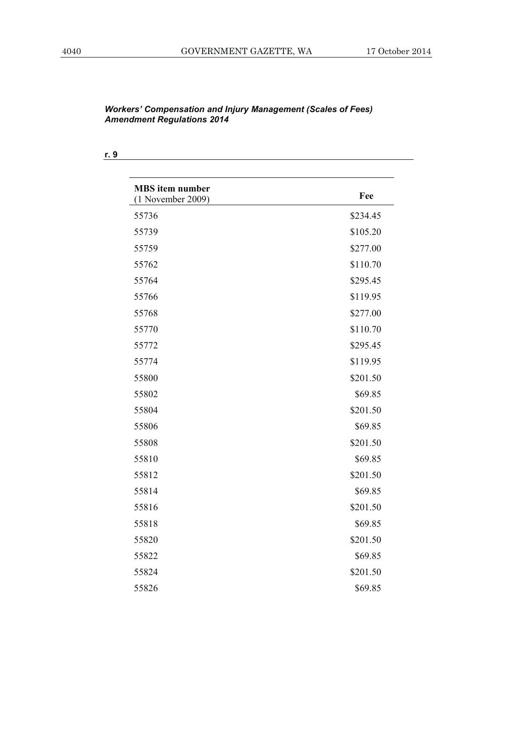| <b>MBS</b> item number<br>$(1$ November 2009) | Fee      |
|-----------------------------------------------|----------|
| 55736                                         | \$234.45 |
| 55739                                         | \$105.20 |
| 55759                                         | \$277.00 |
| 55762                                         | \$110.70 |
| 55764                                         | \$295.45 |
| 55766                                         | \$119.95 |
| 55768                                         | \$277.00 |
| 55770                                         | \$110.70 |
| 55772                                         | \$295.45 |
| 55774                                         | \$119.95 |
| 55800                                         | \$201.50 |
| 55802                                         | \$69.85  |
| 55804                                         | \$201.50 |
| 55806                                         | \$69.85  |
| 55808                                         | \$201.50 |
| 55810                                         | \$69.85  |
| 55812                                         | \$201.50 |
| 55814                                         | \$69.85  |
| 55816                                         | \$201.50 |
| 55818                                         | \$69.85  |
| 55820                                         | \$201.50 |
| 55822                                         | \$69.85  |
| 55824                                         | \$201.50 |
| 55826                                         | \$69.85  |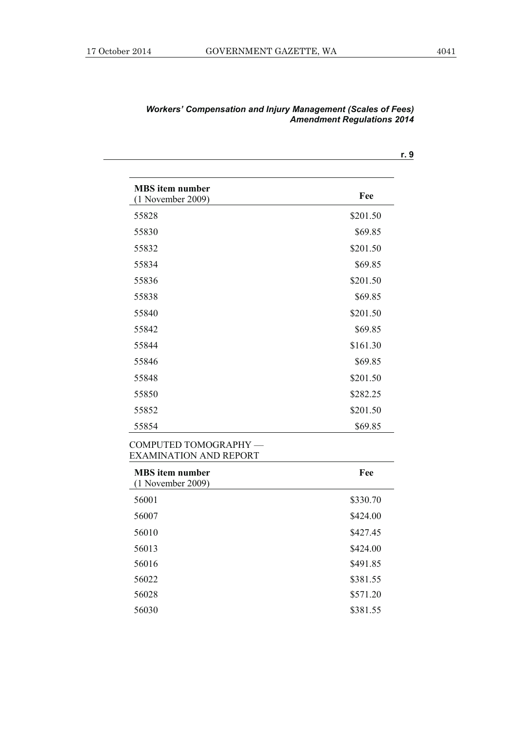| <b>MBS</b> item number<br>$(1$ November 2009)         | Fee      |
|-------------------------------------------------------|----------|
| 55828                                                 | \$201.50 |
| 55830                                                 | \$69.85  |
| 55832                                                 | \$201.50 |
| 55834                                                 | \$69.85  |
| 55836                                                 | \$201.50 |
| 55838                                                 | \$69.85  |
| 55840                                                 | \$201.50 |
| 55842                                                 | \$69.85  |
| 55844                                                 | \$161.30 |
| 55846                                                 | \$69.85  |
| 55848                                                 | \$201.50 |
| 55850                                                 | \$282.25 |
| 55852                                                 | \$201.50 |
| 55854                                                 | \$69.85  |
| COMPUTED TOMOGRAPHY-<br><b>EXAMINATION AND REPORT</b> |          |
| <b>MBS</b> item number<br>$(1$ November 2009)         | Fee      |
| 56001                                                 | \$330.70 |
|                                                       |          |

| <b>MBS</b> item number<br>$(1$ November 2009) | Fee      |
|-----------------------------------------------|----------|
| 56001                                         | \$330.70 |
| 56007                                         | \$424.00 |
| 56010                                         | \$427.45 |
| 56013                                         | \$424.00 |
| 56016                                         | \$491.85 |
| 56022                                         | \$381.55 |
| 56028                                         | \$571.20 |
| 56030                                         | \$381.55 |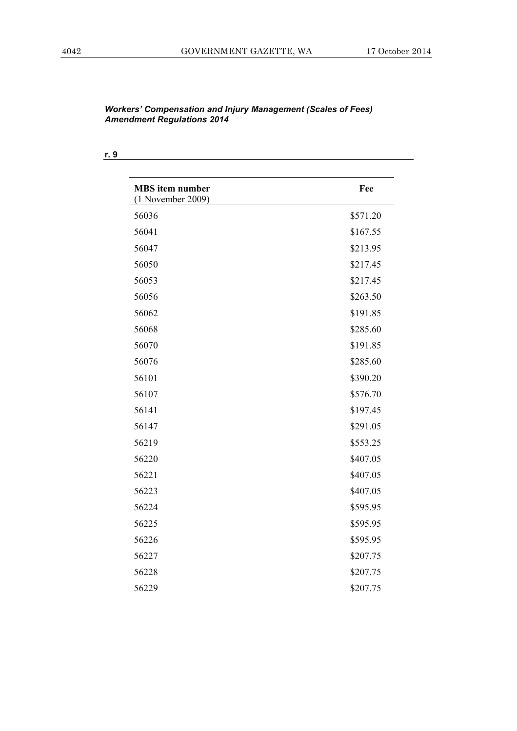**r. 9**

| <b>MBS</b> item number<br>$(1$ November 2009) | Fee      |
|-----------------------------------------------|----------|
| 56036                                         | \$571.20 |
| 56041                                         | \$167.55 |
| 56047                                         | \$213.95 |
| 56050                                         | \$217.45 |
| 56053                                         | \$217.45 |
| 56056                                         | \$263.50 |
| 56062                                         | \$191.85 |
| 56068                                         | \$285.60 |
| 56070                                         | \$191.85 |
| 56076                                         | \$285.60 |
| 56101                                         | \$390.20 |
| 56107                                         | \$576.70 |
| 56141                                         | \$197.45 |
| 56147                                         | \$291.05 |
| 56219                                         | \$553.25 |
| 56220                                         | \$407.05 |
| 56221                                         | \$407.05 |
| 56223                                         | \$407.05 |
| 56224                                         | \$595.95 |
| 56225                                         | \$595.95 |
| 56226                                         | \$595.95 |
| 56227                                         | \$207.75 |
| 56228                                         | \$207.75 |
| 56229                                         | \$207.75 |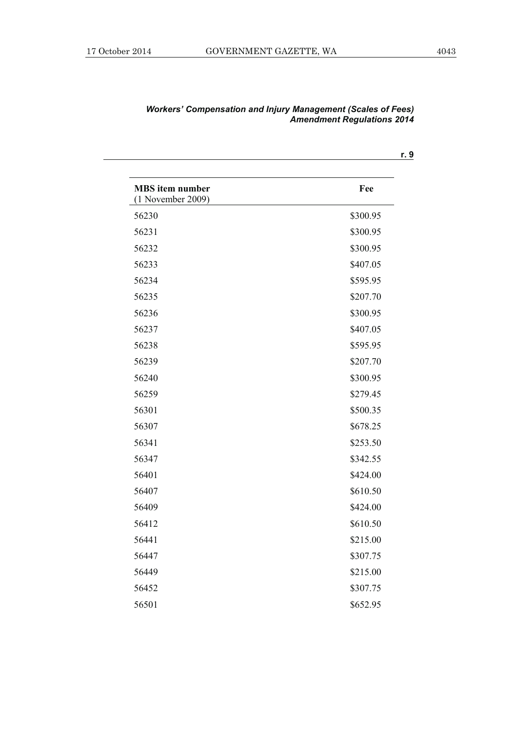| <b>MBS</b> item number<br>$(1$ November 2009) | Fee      |
|-----------------------------------------------|----------|
| 56230                                         | \$300.95 |
| 56231                                         | \$300.95 |
| 56232                                         | \$300.95 |
| 56233                                         | \$407.05 |
| 56234                                         | \$595.95 |
| 56235                                         | \$207.70 |
| 56236                                         | \$300.95 |
| 56237                                         | \$407.05 |
| 56238                                         | \$595.95 |
| 56239                                         | \$207.70 |
| 56240                                         | \$300.95 |
| 56259                                         | \$279.45 |
| 56301                                         | \$500.35 |
| 56307                                         | \$678.25 |
| 56341                                         | \$253.50 |
| 56347                                         | \$342.55 |
| 56401                                         | \$424.00 |
| 56407                                         | \$610.50 |
| 56409                                         | \$424.00 |
| 56412                                         | \$610.50 |
| 56441                                         | \$215.00 |
| 56447                                         | \$307.75 |
| 56449                                         | \$215.00 |
| 56452                                         | \$307.75 |
| 56501                                         | \$652.95 |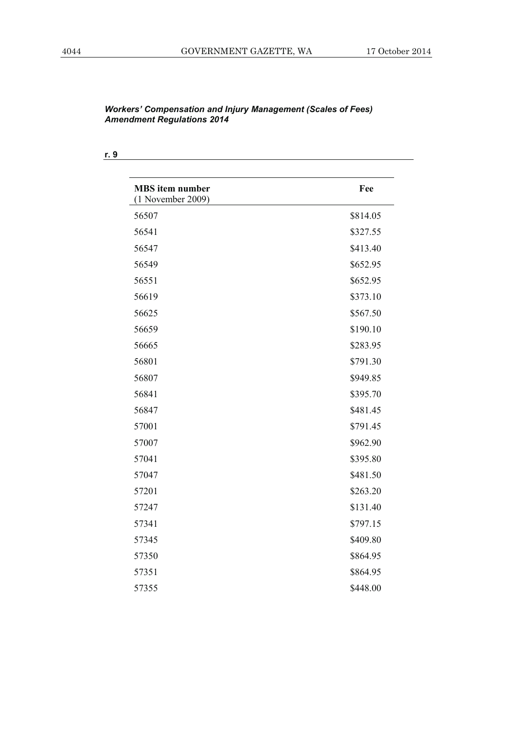| <b>MBS</b> item number<br>$(1$ November 2009) | Fee      |
|-----------------------------------------------|----------|
| 56507                                         | \$814.05 |
| 56541                                         | \$327.55 |
| 56547                                         | \$413.40 |
| 56549                                         | \$652.95 |
| 56551                                         | \$652.95 |
| 56619                                         | \$373.10 |
| 56625                                         | \$567.50 |
| 56659                                         | \$190.10 |
| 56665                                         | \$283.95 |
| 56801                                         | \$791.30 |
| 56807                                         | \$949.85 |
| 56841                                         | \$395.70 |
| 56847                                         | \$481.45 |
| 57001                                         | \$791.45 |
| 57007                                         | \$962.90 |
| 57041                                         | \$395.80 |
| 57047                                         | \$481.50 |
| 57201                                         | \$263.20 |
| 57247                                         | \$131.40 |
| 57341                                         | \$797.15 |
| 57345                                         | \$409.80 |
| 57350                                         | \$864.95 |
| 57351                                         | \$864.95 |
| 57355                                         | \$448.00 |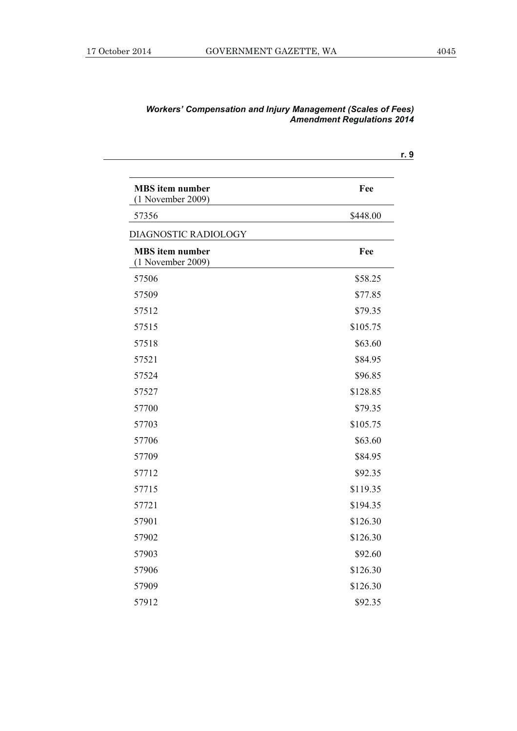| <b>MBS</b> item number<br>$(1$ November 2009) | Fee      |
|-----------------------------------------------|----------|
| 57356                                         | \$448.00 |
| DIAGNOSTIC RADIOLOGY                          |          |
| <b>MBS</b> item number<br>$(1$ November 2009) | Fee      |
| 57506                                         | \$58.25  |
| 57509                                         | \$77.85  |
| 57512                                         | \$79.35  |
| 57515                                         | \$105.75 |
| 57518                                         | \$63.60  |
| 57521                                         | \$84.95  |
| 57524                                         | \$96.85  |
| 57527                                         | \$128.85 |
| 57700                                         | \$79.35  |
| 57703                                         | \$105.75 |
| 57706                                         | \$63.60  |
| 57709                                         | \$84.95  |
| 57712                                         | \$92.35  |
| 57715                                         | \$119.35 |
| 57721                                         | \$194.35 |
| 57901                                         | \$126.30 |
| 57902                                         | \$126.30 |
| 57903                                         | \$92.60  |
| 57906                                         | \$126.30 |
| 57909                                         | \$126.30 |
| 57912                                         | \$92.35  |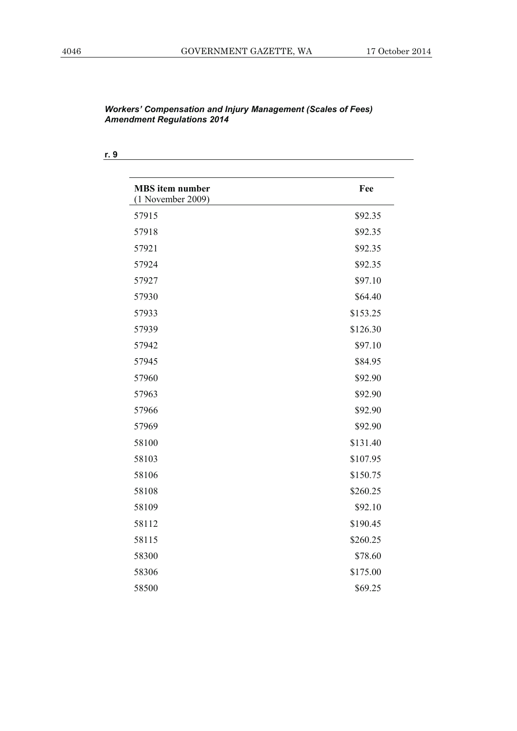| <b>MBS</b> item number<br>$(1$ November 2009) | Fee      |
|-----------------------------------------------|----------|
| 57915                                         | \$92.35  |
| 57918                                         | \$92.35  |
| 57921                                         | \$92.35  |
| 57924                                         | \$92.35  |
| 57927                                         | \$97.10  |
| 57930                                         | \$64.40  |
| 57933                                         | \$153.25 |
| 57939                                         | \$126.30 |
| 57942                                         | \$97.10  |
| 57945                                         | \$84.95  |
| 57960                                         | \$92.90  |
| 57963                                         | \$92.90  |
| 57966                                         | \$92.90  |
| 57969                                         | \$92.90  |
| 58100                                         | \$131.40 |
| 58103                                         | \$107.95 |
| 58106                                         | \$150.75 |
| 58108                                         | \$260.25 |
| 58109                                         | \$92.10  |
| 58112                                         | \$190.45 |
| 58115                                         | \$260.25 |
| 58300                                         | \$78.60  |
| 58306                                         | \$175.00 |
| 58500                                         | \$69.25  |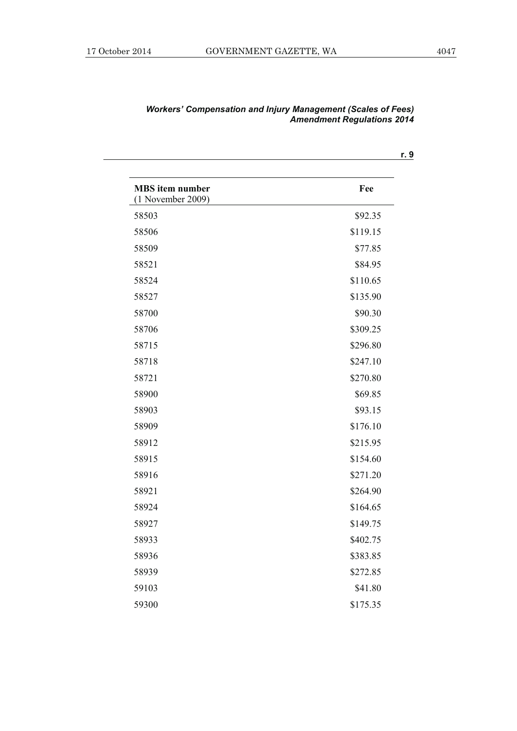| <b>MBS</b> item number<br>$(1$ November 2009) | Fee      |
|-----------------------------------------------|----------|
| 58503                                         | \$92.35  |
| 58506                                         | \$119.15 |
| 58509                                         | \$77.85  |
| 58521                                         | \$84.95  |
| 58524                                         | \$110.65 |
| 58527                                         | \$135.90 |
| 58700                                         | \$90.30  |
| 58706                                         | \$309.25 |
| 58715                                         | \$296.80 |
| 58718                                         | \$247.10 |
| 58721                                         | \$270.80 |
| 58900                                         | \$69.85  |
| 58903                                         | \$93.15  |
| 58909                                         | \$176.10 |
| 58912                                         | \$215.95 |
| 58915                                         | \$154.60 |
| 58916                                         | \$271.20 |
| 58921                                         | \$264.90 |
| 58924                                         | \$164.65 |
| 58927                                         | \$149.75 |
| 58933                                         | \$402.75 |
| 58936                                         | \$383.85 |
| 58939                                         | \$272.85 |
| 59103                                         | \$41.80  |
| 59300                                         | \$175.35 |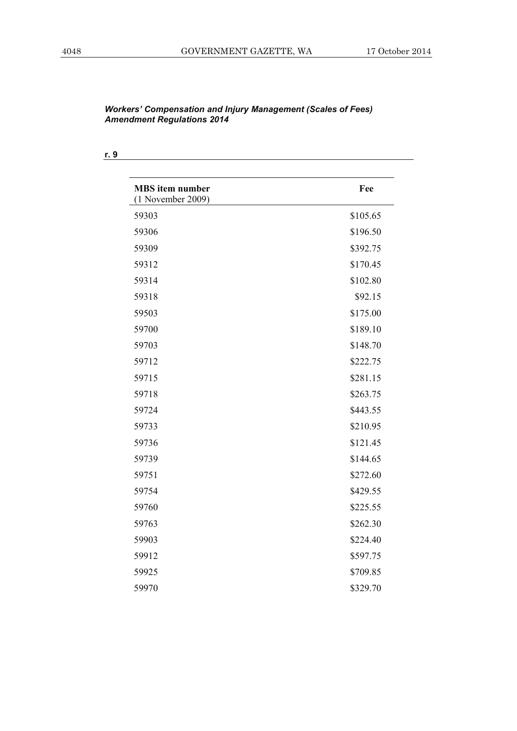| <b>MBS</b> item number<br>$(1$ November 2009) | Fee      |
|-----------------------------------------------|----------|
| 59303                                         | \$105.65 |
| 59306                                         | \$196.50 |
| 59309                                         | \$392.75 |
| 59312                                         | \$170.45 |
| 59314                                         | \$102.80 |
| 59318                                         | \$92.15  |
| 59503                                         | \$175.00 |
| 59700                                         | \$189.10 |
| 59703                                         | \$148.70 |
| 59712                                         | \$222.75 |
| 59715                                         | \$281.15 |
| 59718                                         | \$263.75 |
| 59724                                         | \$443.55 |
| 59733                                         | \$210.95 |
| 59736                                         | \$121.45 |
| 59739                                         | \$144.65 |
| 59751                                         | \$272.60 |
| 59754                                         | \$429.55 |
| 59760                                         | \$225.55 |
| 59763                                         | \$262.30 |
| 59903                                         | \$224.40 |
| 59912                                         | \$597.75 |
| 59925                                         | \$709.85 |
| 59970                                         | \$329.70 |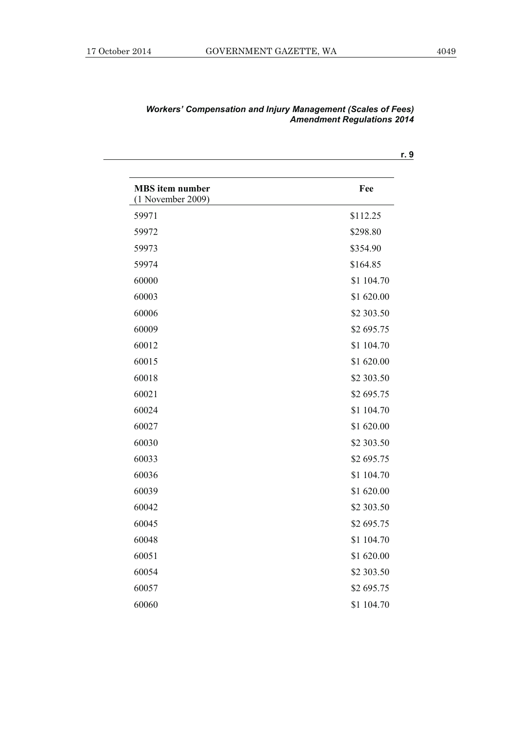| <b>MBS</b> item number<br>$(1$ November 2009) | Fee        |
|-----------------------------------------------|------------|
| 59971                                         | \$112.25   |
| 59972                                         | \$298.80   |
| 59973                                         | \$354.90   |
| 59974                                         | \$164.85   |
| 60000                                         | \$1 104.70 |
| 60003                                         | \$1 620.00 |
| 60006                                         | \$2 303.50 |
| 60009                                         | \$2 695.75 |
| 60012                                         | \$1 104.70 |
| 60015                                         | \$1 620.00 |
| 60018                                         | \$2 303.50 |
| 60021                                         | \$2 695.75 |
| 60024                                         | \$1 104.70 |
| 60027                                         | \$1 620.00 |
| 60030                                         | \$2 303.50 |
| 60033                                         | \$2 695.75 |
| 60036                                         | \$1 104.70 |
| 60039                                         | \$1 620.00 |
| 60042                                         | \$2 303.50 |
| 60045                                         | \$2 695.75 |
| 60048                                         | \$1 104.70 |
| 60051                                         | \$1 620.00 |
| 60054                                         | \$2 303.50 |
| 60057                                         | \$2 695.75 |
| 60060                                         | \$1 104.70 |

| <b>Workers' Compensation and Injury Management (Scales of Fees)</b> |                                   |  |
|---------------------------------------------------------------------|-----------------------------------|--|
|                                                                     | <b>Amendment Regulations 2014</b> |  |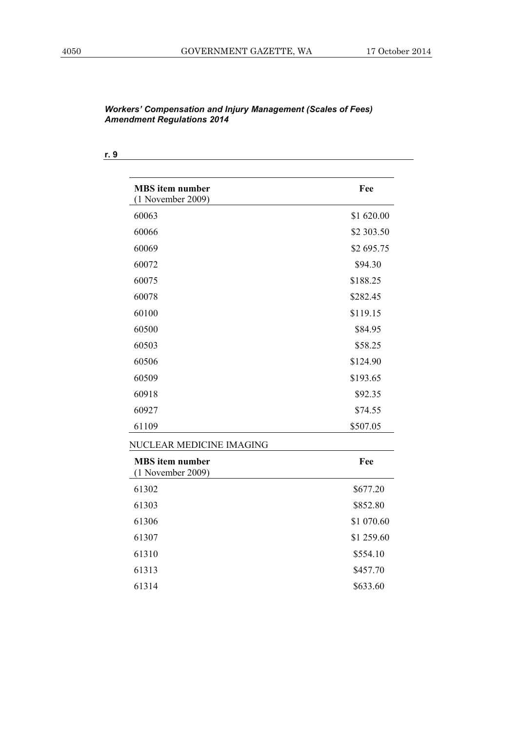**r. 9**

| <b>MBS</b> item number<br>$(1$ November 2009) | Fee        |
|-----------------------------------------------|------------|
| 60063                                         | \$1 620.00 |
| 60066                                         | \$2 303.50 |
| 60069                                         | \$2 695.75 |
| 60072                                         | \$94.30    |
| 60075                                         | \$188.25   |
| 60078                                         | \$282.45   |
| 60100                                         | \$119.15   |
| 60500                                         | \$84.95    |
| 60503                                         | \$58.25    |
| 60506                                         | \$124.90   |
| 60509                                         | \$193.65   |
| 60918                                         | \$92.35    |
| 60927                                         | \$74.55    |
| 61109                                         | \$507.05   |
| NUCLEAR MEDICINE IMAGING                      |            |
| <b>MBS</b> item number<br>$(1$ November 2009) | Fee        |
| 61302                                         | \$677.20   |
| 61303                                         | \$852.80   |
| 61306                                         | \$1 070.60 |
| 61307                                         | \$1 259.60 |
| 61310                                         | \$554.10   |
| 61313                                         | \$457.70   |
| 61314                                         | \$633.60   |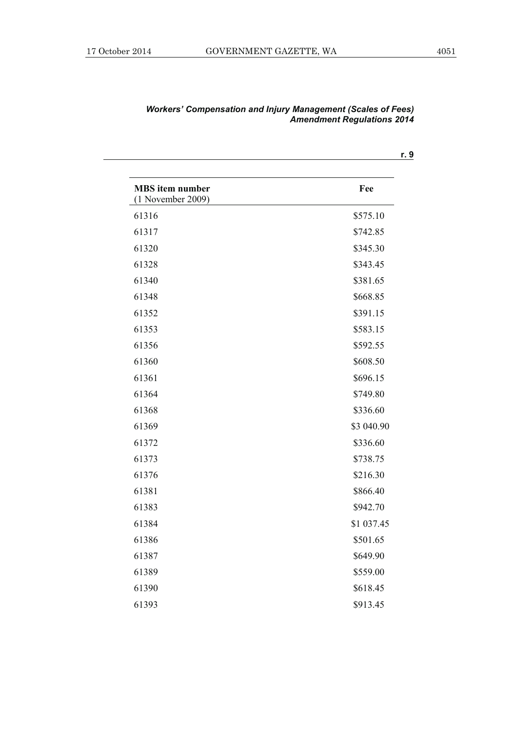| <b>MBS</b> item number<br>$(1$ November 2009) | Fee        |
|-----------------------------------------------|------------|
| 61316                                         | \$575.10   |
| 61317                                         | \$742.85   |
| 61320                                         | \$345.30   |
| 61328                                         | \$343.45   |
| 61340                                         | \$381.65   |
| 61348                                         | \$668.85   |
| 61352                                         | \$391.15   |
| 61353                                         | \$583.15   |
| 61356                                         | \$592.55   |
| 61360                                         | \$608.50   |
| 61361                                         | \$696.15   |
| 61364                                         | \$749.80   |
| 61368                                         | \$336.60   |
| 61369                                         | \$3 040.90 |
| 61372                                         | \$336.60   |
| 61373                                         | \$738.75   |
| 61376                                         | \$216.30   |
| 61381                                         | \$866.40   |
| 61383                                         | \$942.70   |
| 61384                                         | \$1 037.45 |
| 61386                                         | \$501.65   |
| 61387                                         | \$649.90   |
| 61389                                         | \$559.00   |
| 61390                                         | \$618.45   |
| 61393                                         | \$913.45   |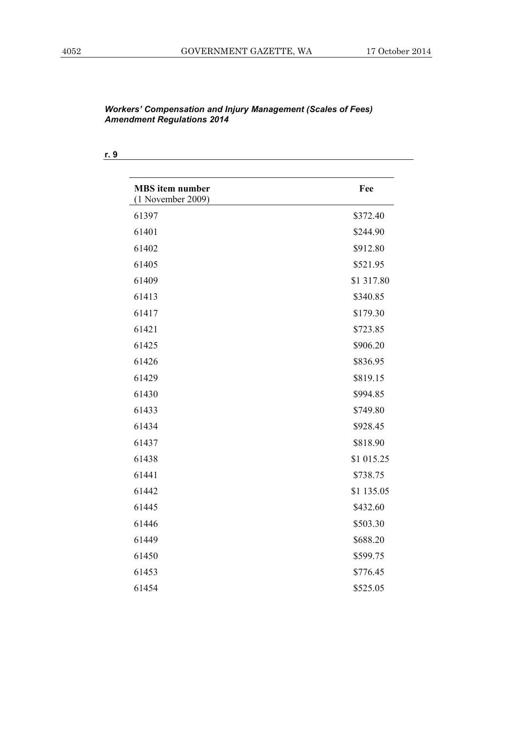| <b>MBS</b> item number<br>$(1$ November 2009) | Fee        |
|-----------------------------------------------|------------|
| 61397                                         | \$372.40   |
| 61401                                         | \$244.90   |
| 61402                                         | \$912.80   |
| 61405                                         | \$521.95   |
| 61409                                         | \$1 317.80 |
| 61413                                         | \$340.85   |
| 61417                                         | \$179.30   |
| 61421                                         | \$723.85   |
| 61425                                         | \$906.20   |
| 61426                                         | \$836.95   |
| 61429                                         | \$819.15   |
| 61430                                         | \$994.85   |
| 61433                                         | \$749.80   |
| 61434                                         | \$928.45   |
| 61437                                         | \$818.90   |
| 61438                                         | \$1 015.25 |
| 61441                                         | \$738.75   |
| 61442                                         | \$1 135.05 |
| 61445                                         | \$432.60   |
| 61446                                         | \$503.30   |
| 61449                                         | \$688.20   |
| 61450                                         | \$599.75   |
| 61453                                         | \$776.45   |
| 61454                                         | \$525.05   |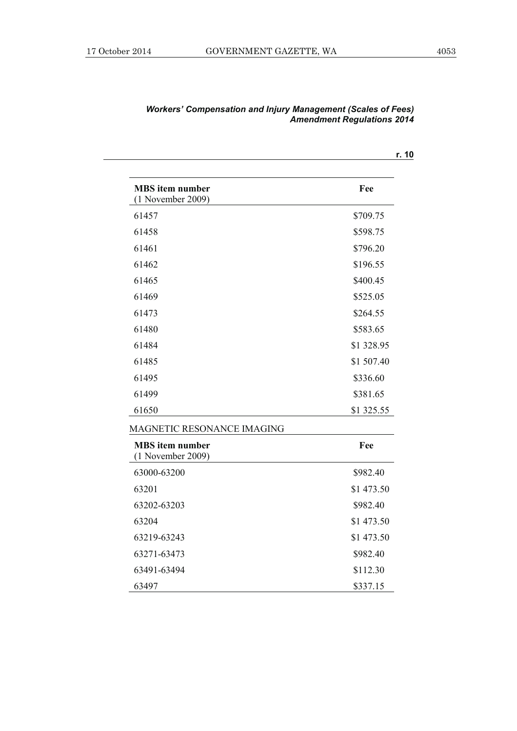| <b>MBS</b> item number<br>$(1$ November 2009) | Fee        |
|-----------------------------------------------|------------|
| 61457                                         | \$709.75   |
| 61458                                         | \$598.75   |
| 61461                                         | \$796.20   |
| 61462                                         | \$196.55   |
| 61465                                         | \$400.45   |
| 61469                                         | \$525.05   |
| 61473                                         | \$264.55   |
| 61480                                         | \$583.65   |
| 61484                                         | \$1 328.95 |
| 61485                                         | \$1 507.40 |
| 61495                                         | \$336.60   |
| 61499                                         | \$381.65   |
| 61650                                         | \$1 325.55 |
| MAGNETIC RESONANCE IMAGING                    |            |
| <b>MBS</b> item number<br>$(1$ November 2009) | Fee        |
| 63000-63200                                   | \$982.40   |
| 63201                                         | \$1 473.50 |
| 63202-63203                                   | \$982.40   |
| 63204                                         | \$1 473.50 |
| 63219-63243                                   | \$1 473.50 |
| 63271-63473                                   | \$982.40   |
| 63491-63494                                   | \$112.30   |
| 63497                                         | \$337.15   |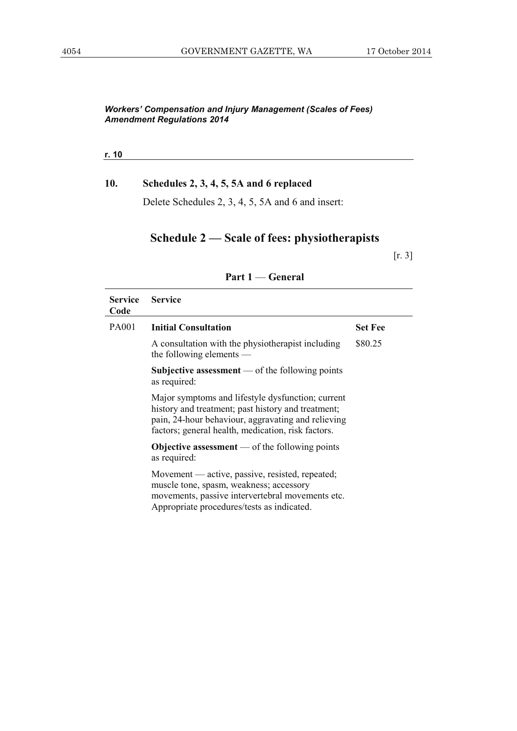**r. 10**

### **10. Schedules 2, 3, 4, 5, 5A and 6 replaced**

Delete Schedules 2, 3, 4, 5, 5A and 6 and insert:

## **Schedule 2 — Scale of fees: physiotherapists**

[r. 3]

| <b>Service</b><br>Code | <b>Service</b>                                                                                                                                                                                                      |                |
|------------------------|---------------------------------------------------------------------------------------------------------------------------------------------------------------------------------------------------------------------|----------------|
| PA001                  | <b>Initial Consultation</b>                                                                                                                                                                                         | <b>Set Fee</b> |
|                        | A consultation with the physiotherapist including<br>the following elements -                                                                                                                                       | \$80.25        |
|                        | Subjective assessment $\sim$ of the following points<br>as required:                                                                                                                                                |                |
|                        | Major symptoms and lifestyle dysfunction; current<br>history and treatment; past history and treatment;<br>pain, 24-hour behaviour, aggravating and relieving<br>factors; general health, medication, risk factors. |                |
|                        | <b>Objective assessment</b> — of the following points<br>as required:                                                                                                                                               |                |
|                        | Movement — active, passive, resisted, repeated;<br>muscle tone, spasm, weakness; accessory<br>movements, passive intervertebral movements etc.<br>Appropriate procedures/tests as indicated.                        |                |

### **Part 1** — **General**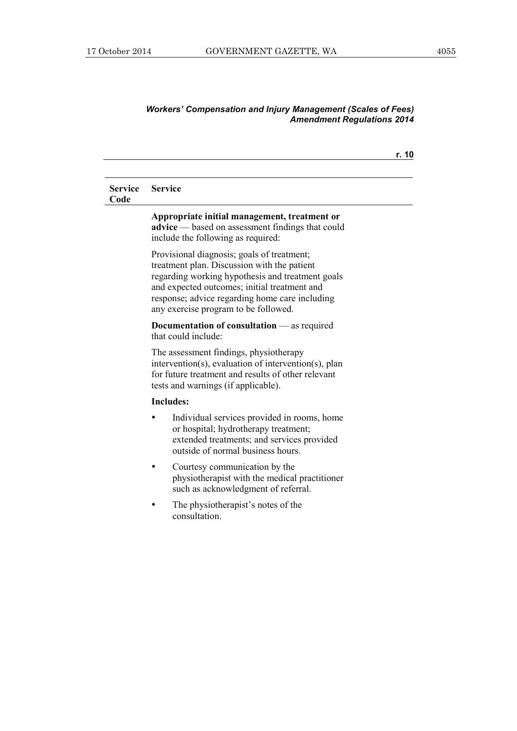|                        |                                                                                                                                                                                                                                                                                         | r. 10 |
|------------------------|-----------------------------------------------------------------------------------------------------------------------------------------------------------------------------------------------------------------------------------------------------------------------------------------|-------|
| <b>Service</b><br>Code | <b>Service</b>                                                                                                                                                                                                                                                                          |       |
|                        | Appropriate initial management, treatment or<br><b>advice</b> — based on assessment findings that could<br>include the following as required:                                                                                                                                           |       |
|                        | Provisional diagnosis; goals of treatment;<br>treatment plan. Discussion with the patient<br>regarding working hypothesis and treatment goals<br>and expected outcomes; initial treatment and<br>response; advice regarding home care including<br>any exercise program to be followed. |       |
|                        | <b>Documentation of consultation</b> $\qquad$ as required<br>that could include:                                                                                                                                                                                                        |       |
|                        | The assessment findings, physiotherapy<br>intervention(s), evaluation of intervention(s), plan<br>for future treatment and results of other relevant<br>tests and warnings (if applicable).                                                                                             |       |
|                        | <b>Includes:</b>                                                                                                                                                                                                                                                                        |       |
|                        | Individual services provided in rooms, home<br>or hospital; hydrotherapy treatment;<br>extended treatments; and services provided<br>outside of normal business hours.                                                                                                                  |       |
|                        | Courtesy communication by the<br>physiotherapist with the medical practitioner<br>such as acknowledgment of referral.                                                                                                                                                                   |       |
|                        | The physiotherapist's notes of the<br>consultation.                                                                                                                                                                                                                                     |       |
|                        |                                                                                                                                                                                                                                                                                         |       |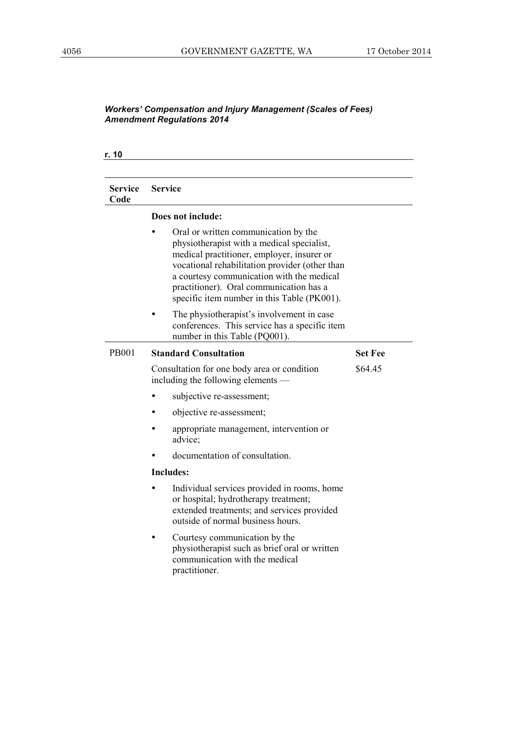| Service<br>Code | <b>Service</b>                                                                                                                                                                                                                                                                                                            |                |
|-----------------|---------------------------------------------------------------------------------------------------------------------------------------------------------------------------------------------------------------------------------------------------------------------------------------------------------------------------|----------------|
|                 | Does not include:                                                                                                                                                                                                                                                                                                         |                |
|                 | Oral or written communication by the<br>physiotherapist with a medical specialist,<br>medical practitioner, employer, insurer or<br>vocational rehabilitation provider (other than<br>a courtesy communication with the medical<br>practitioner). Oral communication has a<br>specific item number in this Table (PK001). |                |
|                 | The physiotherapist's involvement in case<br>conferences. This service has a specific item<br>number in this Table (PQ001).                                                                                                                                                                                               |                |
| <b>PB001</b>    | <b>Standard Consultation</b>                                                                                                                                                                                                                                                                                              | <b>Set Fee</b> |
|                 | Consultation for one body area or condition<br>including the following elements —                                                                                                                                                                                                                                         | \$64.45        |
|                 | subjective re-assessment;                                                                                                                                                                                                                                                                                                 |                |
|                 | objective re-assessment;                                                                                                                                                                                                                                                                                                  |                |
|                 | appropriate management, intervention or<br>advice:                                                                                                                                                                                                                                                                        |                |
|                 | documentation of consultation.                                                                                                                                                                                                                                                                                            |                |
|                 | <b>Includes:</b>                                                                                                                                                                                                                                                                                                          |                |
|                 | Individual services provided in rooms, home<br>or hospital; hydrotherapy treatment;<br>extended treatments; and services provided<br>outside of normal business hours.                                                                                                                                                    |                |
|                 | Courtesy communication by the<br>physiotherapist such as brief oral or written<br>communication with the medical<br>practitioner.                                                                                                                                                                                         |                |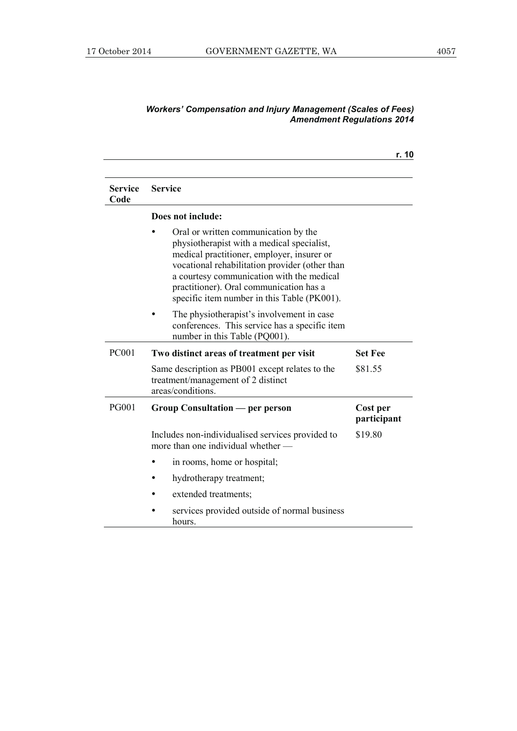|                        |                                                                                                                                                                                                                                                                                                                           | r. 10                   |
|------------------------|---------------------------------------------------------------------------------------------------------------------------------------------------------------------------------------------------------------------------------------------------------------------------------------------------------------------------|-------------------------|
| <b>Service</b><br>Code | <b>Service</b>                                                                                                                                                                                                                                                                                                            |                         |
|                        | Does not include:                                                                                                                                                                                                                                                                                                         |                         |
|                        | Oral or written communication by the<br>physiotherapist with a medical specialist,<br>medical practitioner, employer, insurer or<br>vocational rehabilitation provider (other than<br>a courtesy communication with the medical<br>practitioner). Oral communication has a<br>specific item number in this Table (PK001). |                         |
|                        | The physiotherapist's involvement in case<br>conferences. This service has a specific item<br>number in this Table (PQ001).                                                                                                                                                                                               |                         |
| <b>PC001</b>           | Two distinct areas of treatment per visit                                                                                                                                                                                                                                                                                 | <b>Set Fee</b>          |
|                        | Same description as PB001 except relates to the<br>treatment/management of 2 distinct<br>areas/conditions.                                                                                                                                                                                                                | \$81.55                 |
| <b>PG001</b>           | Group Consultation — per person                                                                                                                                                                                                                                                                                           | Cost per<br>participant |
|                        | Includes non-individualised services provided to<br>more than one individual whether -                                                                                                                                                                                                                                    | \$19.80                 |
|                        | in rooms, home or hospital;                                                                                                                                                                                                                                                                                               |                         |
|                        | hydrotherapy treatment;                                                                                                                                                                                                                                                                                                   |                         |
|                        | extended treatments;                                                                                                                                                                                                                                                                                                      |                         |
|                        | services provided outside of normal business<br>hours.                                                                                                                                                                                                                                                                    |                         |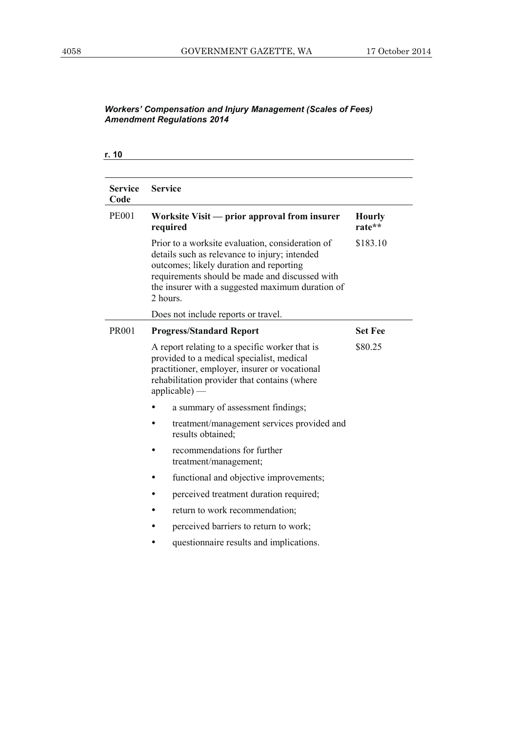| <b>Service</b> | <b>Service</b>                                                                                                                                                                                                                                                |                         |
|----------------|---------------------------------------------------------------------------------------------------------------------------------------------------------------------------------------------------------------------------------------------------------------|-------------------------|
| Code           |                                                                                                                                                                                                                                                               |                         |
| <b>PE001</b>   | Worksite Visit — prior approval from insurer<br>required                                                                                                                                                                                                      | <b>Hourly</b><br>rate** |
|                | Prior to a worksite evaluation, consideration of<br>details such as relevance to injury; intended<br>outcomes; likely duration and reporting<br>requirements should be made and discussed with<br>the insurer with a suggested maximum duration of<br>2 hours | \$183.10                |
|                | Does not include reports or travel.                                                                                                                                                                                                                           |                         |
| <b>PR001</b>   | <b>Progress/Standard Report</b>                                                                                                                                                                                                                               | <b>Set Fee</b>          |
|                | A report relating to a specific worker that is<br>provided to a medical specialist, medical<br>practitioner, employer, insurer or vocational<br>rehabilitation provider that contains (where<br>$applicable)$ —                                               | \$80.25                 |
|                | a summary of assessment findings;                                                                                                                                                                                                                             |                         |
|                | treatment/management services provided and<br>results obtained;                                                                                                                                                                                               |                         |
|                | recommendations for further<br>treatment/management;                                                                                                                                                                                                          |                         |
|                | functional and objective improvements;                                                                                                                                                                                                                        |                         |
|                | perceived treatment duration required;                                                                                                                                                                                                                        |                         |
|                | return to work recommendation;                                                                                                                                                                                                                                |                         |
|                | perceived barriers to return to work;                                                                                                                                                                                                                         |                         |
|                | questionnaire results and implications.                                                                                                                                                                                                                       |                         |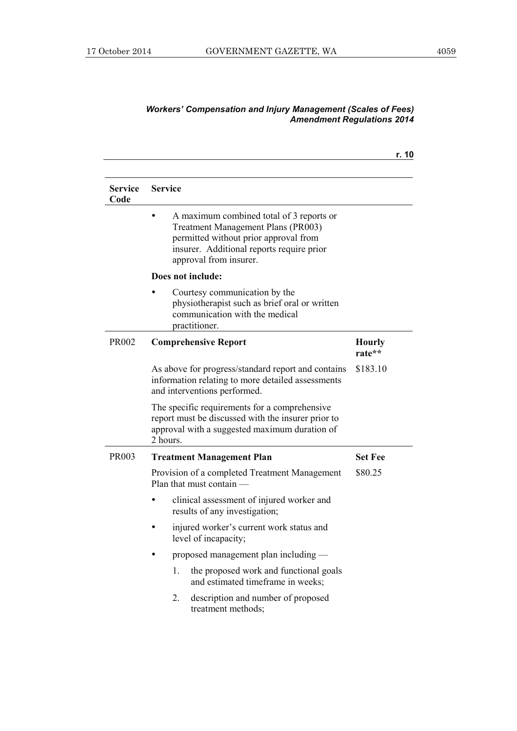|                        |                                                                                                                                                                                                       | r. 10                   |
|------------------------|-------------------------------------------------------------------------------------------------------------------------------------------------------------------------------------------------------|-------------------------|
| <b>Service</b><br>Code | <b>Service</b>                                                                                                                                                                                        |                         |
|                        | A maximum combined total of 3 reports or<br><b>Treatment Management Plans (PR003)</b><br>permitted without prior approval from<br>insurer. Additional reports require prior<br>approval from insurer. |                         |
|                        | Does not include:                                                                                                                                                                                     |                         |
|                        | Courtesy communication by the<br>physiotherapist such as brief oral or written<br>communication with the medical<br>practitioner.                                                                     |                         |
| PR002                  | <b>Comprehensive Report</b>                                                                                                                                                                           | <b>Hourly</b><br>rate** |
|                        | As above for progress/standard report and contains<br>information relating to more detailed assessments<br>and interventions performed.                                                               | \$183.10                |
|                        | The specific requirements for a comprehensive<br>report must be discussed with the insurer prior to<br>approval with a suggested maximum duration of<br>2 hours.                                      |                         |
| PR003                  | <b>Treatment Management Plan</b>                                                                                                                                                                      | <b>Set Fee</b>          |
|                        | Provision of a completed Treatment Management<br>Plan that must contain —                                                                                                                             | \$80.25                 |
|                        | clinical assessment of injured worker and<br>results of any investigation;                                                                                                                            |                         |
|                        | injured worker's current work status and<br>level of incapacity;                                                                                                                                      |                         |
|                        | proposed management plan including —                                                                                                                                                                  |                         |
|                        | the proposed work and functional goals<br>1.<br>and estimated timeframe in weeks;                                                                                                                     |                         |
|                        | 2.<br>description and number of proposed<br>treatment methods;                                                                                                                                        |                         |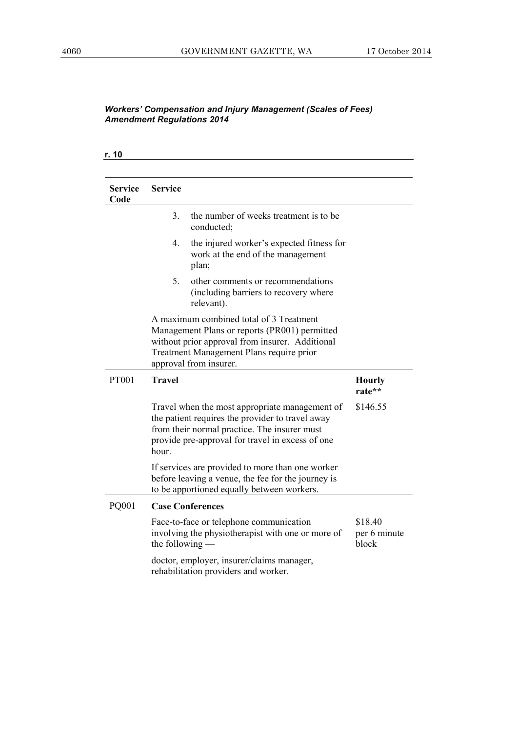| <b>Service</b><br>Code | <b>Service</b>    |                                                                                                                                                                                                                   |                                  |
|------------------------|-------------------|-------------------------------------------------------------------------------------------------------------------------------------------------------------------------------------------------------------------|----------------------------------|
|                        | 3.                | the number of weeks treatment is to be<br>conducted;                                                                                                                                                              |                                  |
|                        | 4.                | the injured worker's expected fitness for<br>work at the end of the management<br>plan;                                                                                                                           |                                  |
|                        | 5.                | other comments or recommendations<br>(including barriers to recovery where<br>relevant).                                                                                                                          |                                  |
|                        |                   | A maximum combined total of 3 Treatment<br>Management Plans or reports (PR001) permitted<br>without prior approval from insurer. Additional<br>Treatment Management Plans require prior<br>approval from insurer. |                                  |
| <b>PT001</b>           | <b>Travel</b>     |                                                                                                                                                                                                                   | <b>Hourly</b><br>rate**          |
|                        | hour.             | Travel when the most appropriate management of<br>the patient requires the provider to travel away<br>from their normal practice. The insurer must<br>provide pre-approval for travel in excess of one            | \$146.55                         |
|                        |                   | If services are provided to more than one worker<br>before leaving a venue, the fee for the journey is<br>to be apportioned equally between workers.                                                              |                                  |
| PQ001                  |                   | <b>Case Conferences</b>                                                                                                                                                                                           |                                  |
|                        | the following $-$ | Face-to-face or telephone communication<br>involving the physiotherapist with one or more of                                                                                                                      | \$18.40<br>per 6 minute<br>block |
|                        |                   | doctor, employer, insurer/claims manager,<br>rehabilitation providers and worker.                                                                                                                                 |                                  |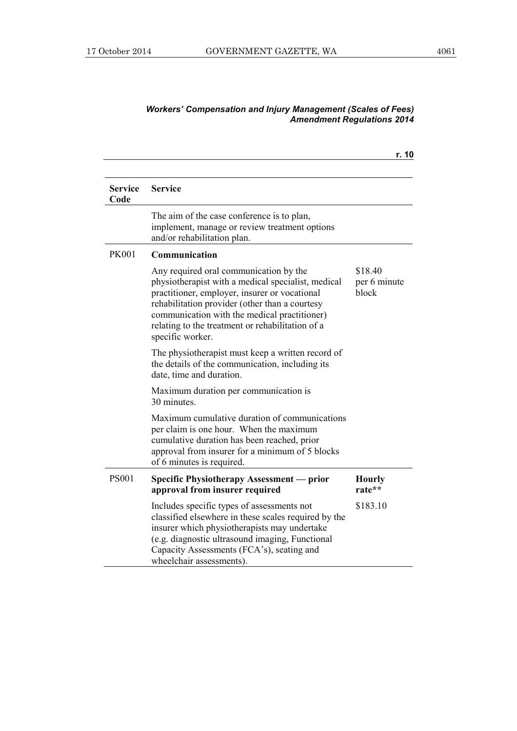### **r. 10 Service Code Service**  The aim of the case conference is to plan, implement, manage or review treatment options and/or rehabilitation plan. PK001 **Communication**  Any required oral communication by the physiotherapist with a medical specialist, medical practitioner, employer, insurer or vocational rehabilitation provider (other than a courtesy communication with the medical practitioner) relating to the treatment or rehabilitation of a specific worker. \$18.40 per 6 minute block The physiotherapist must keep a written record of the details of the communication, including its date, time and duration. Maximum duration per communication is 30 minutes. Maximum cumulative duration of communications per claim is one hour. When the maximum cumulative duration has been reached, prior approval from insurer for a minimum of 5 blocks of 6 minutes is required. PS001 **Specific Physiotherapy Assessment — prior approval from insurer required** Includes specific types of assessments not classified elsewhere in these scales required by the insurer which physiotherapists may undertake (e.g. diagnostic ultrasound imaging, Functional Capacity Assessments (FCA's), seating and wheelchair assessments). **Hourly rate\*\***  \$183.10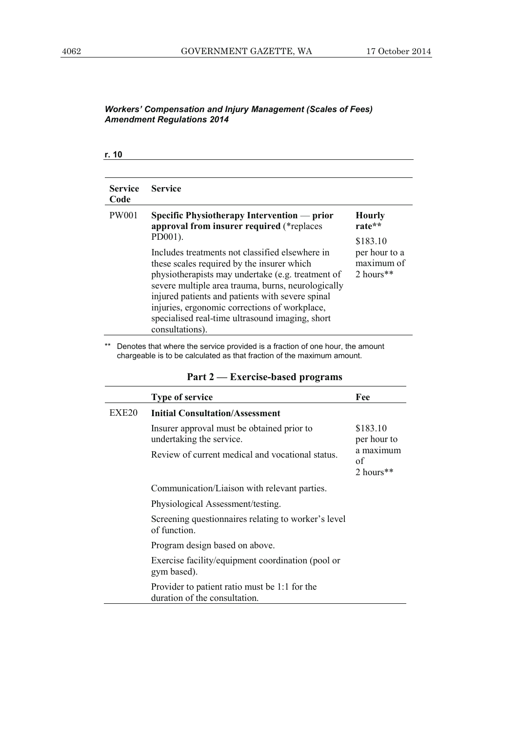### **r. 10**

| <b>Service</b><br>Code | <b>Service</b>                                                                                                                                                                                                                                                                                                                                                                      |                                          |
|------------------------|-------------------------------------------------------------------------------------------------------------------------------------------------------------------------------------------------------------------------------------------------------------------------------------------------------------------------------------------------------------------------------------|------------------------------------------|
| <b>PW001</b>           | Specific Physiotherapy Intervention — prior<br>approval from insurer required (*replaces<br>PD001).                                                                                                                                                                                                                                                                                 | <b>Hourly</b><br>rate**<br>\$183.10      |
|                        | Includes treatments not classified elsewhere in<br>these scales required by the insurer which<br>physiotherapists may undertake (e.g. treatment of<br>severe multiple area trauma, burns, neurologically<br>injured patients and patients with severe spinal<br>injuries, ergonomic corrections of workplace,<br>specialised real-time ultrasound imaging, short<br>consultations). | per hour to a<br>maximum of<br>2 hours** |

\*\* Denotes that where the service provided is a fraction of one hour, the amount chargeable is to be calculated as that fraction of the maximum amount.

|                   | <b>Type of service</b>                                                         | Fee                          |
|-------------------|--------------------------------------------------------------------------------|------------------------------|
| EXE <sub>20</sub> | <b>Initial Consultation/Assessment</b>                                         |                              |
|                   | Insurer approval must be obtained prior to<br>undertaking the service.         | \$183.10<br>per hour to      |
|                   | Review of current medical and vocational status.                               | a maximum<br>of<br>2 hours** |
|                   | Communication/Liaison with relevant parties.                                   |                              |
|                   | Physiological Assessment/testing.                                              |                              |
|                   | Screening questionnaires relating to worker's level<br>of function.            |                              |
|                   | Program design based on above.                                                 |                              |
|                   | Exercise facility/equipment coordination (pool or<br>gym based).               |                              |
|                   | Provider to patient ratio must be 1:1 for the<br>duration of the consultation. |                              |

### **Part 2 — Exercise-based programs**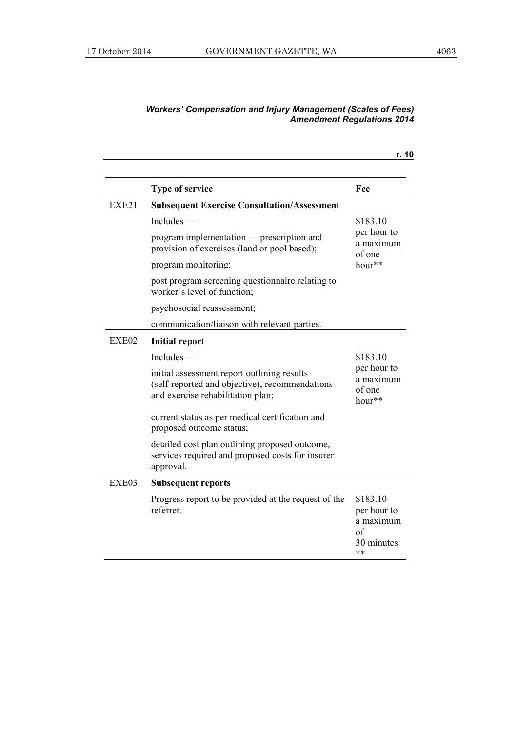|       |                                                                                                                                    | r. 10                                                          |
|-------|------------------------------------------------------------------------------------------------------------------------------------|----------------------------------------------------------------|
|       | Type of service                                                                                                                    | Fee                                                            |
| EXE21 | <b>Subsequent Exercise Consultation/Assessment</b>                                                                                 |                                                                |
|       | Includes $-$                                                                                                                       | \$183.10                                                       |
|       | program implementation — prescription and<br>provision of exercises (land or pool based);                                          | per hour to<br>a maximum<br>of one                             |
|       | program monitoring;                                                                                                                | $hour**$                                                       |
|       | post program screening question aire relating to<br>worker's level of function;                                                    |                                                                |
|       | psychosocial reassessment;                                                                                                         |                                                                |
|       | communication/liaison with relevant parties.                                                                                       |                                                                |
| EXE02 | <b>Initial report</b>                                                                                                              |                                                                |
|       | $Includes$ —                                                                                                                       | \$183.10                                                       |
|       | initial assessment report outlining results<br>(self-reported and objective), recommendations<br>and exercise rehabilitation plan; | per hour to<br>a maximum<br>of one<br>hour**                   |
|       | current status as per medical certification and<br>proposed outcome status;                                                        |                                                                |
|       | detailed cost plan outlining proposed outcome,<br>services required and proposed costs for insurer<br>approval.                    |                                                                |
| EXE03 | <b>Subsequent reports</b>                                                                                                          |                                                                |
|       | Progress report to be provided at the request of the<br>referrer.                                                                  | \$183.10<br>per hour to<br>a maximum<br>of<br>30 minutes<br>** |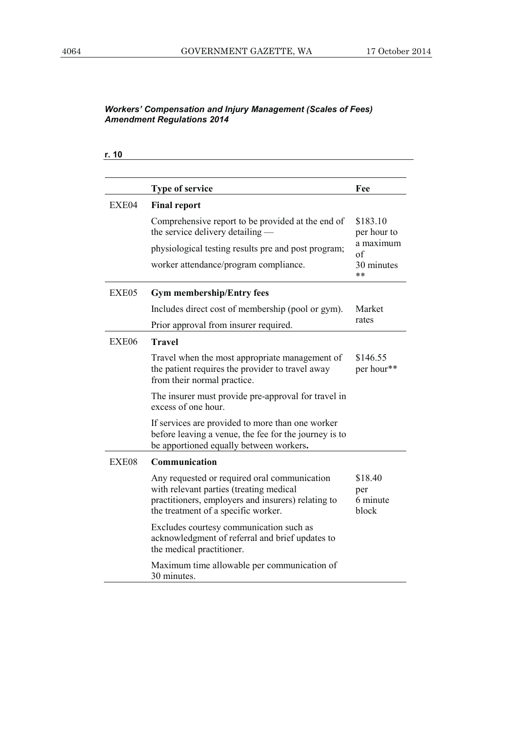| r. 10 |                                                                                                                                                                                      |                                     |
|-------|--------------------------------------------------------------------------------------------------------------------------------------------------------------------------------------|-------------------------------------|
|       | Type of service                                                                                                                                                                      | Fee                                 |
| EXE04 | <b>Final report</b>                                                                                                                                                                  |                                     |
|       | Comprehensive report to be provided at the end of<br>the service delivery detailing —                                                                                                | \$183.10<br>per hour to             |
|       | physiological testing results pre and post program;                                                                                                                                  | a maximum<br>$\sigma$ f             |
|       | worker attendance/program compliance.                                                                                                                                                | 30 minutes<br>**                    |
| EXE05 | <b>Gym membership/Entry fees</b>                                                                                                                                                     |                                     |
|       | Includes direct cost of membership (pool or gym).                                                                                                                                    | Market                              |
|       | Prior approval from insurer required.                                                                                                                                                | rates                               |
| EXE06 | <b>Travel</b>                                                                                                                                                                        |                                     |
|       | Travel when the most appropriate management of<br>the patient requires the provider to travel away<br>from their normal practice.                                                    | \$146.55<br>per hour**              |
|       | The insurer must provide pre-approval for travel in<br>excess of one hour.                                                                                                           |                                     |
|       | If services are provided to more than one worker<br>before leaving a venue, the fee for the journey is to<br>be apportioned equally between workers.                                 |                                     |
| EXE08 | Communication                                                                                                                                                                        |                                     |
|       | Any requested or required oral communication<br>with relevant parties (treating medical<br>practitioners, employers and insurers) relating to<br>the treatment of a specific worker. | \$18.40<br>per<br>6 minute<br>block |
|       | Excludes courtesy communication such as<br>acknowledgment of referral and brief updates to<br>the medical practitioner.                                                              |                                     |
|       | Maximum time allowable per communication of<br>30 minutes.                                                                                                                           |                                     |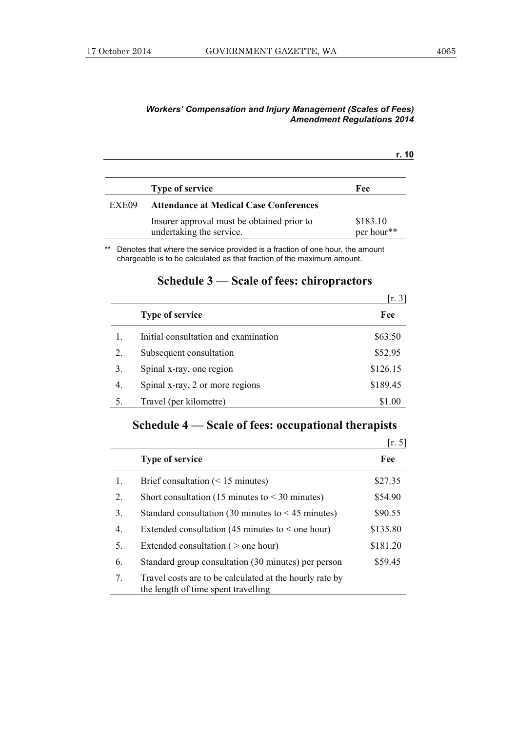|       |                                                                        | r. 10                  |
|-------|------------------------------------------------------------------------|------------------------|
|       | <b>Type of service</b>                                                 | Fee                    |
| EXE09 | <b>Attendance at Medical Case Conferences</b>                          |                        |
|       | Insurer approval must be obtained prior to<br>undertaking the service. | \$183.10<br>per hour** |

\*\* Denotes that where the service provided is a fraction of one hour, the amount chargeable is to be calculated as that fraction of the maximum amount.

|    |                                      | [r. 3]   |
|----|--------------------------------------|----------|
|    | <b>Type of service</b>               | Fee      |
|    | Initial consultation and examination | \$63.50  |
| 2. | Subsequent consultation              | \$52.95  |
| 3. | Spinal x-ray, one region             | \$126.15 |
| 4. | Spinal x-ray, 2 or more regions      | \$189.45 |
|    | Travel (per kilometre)               | \$1.00   |

## **Schedule 3 — Scale of fees: chiropractors**

# **Schedule 4 — Scale of fees: occupational therapists**

|                  |                                                                                                | [r. 5]   |
|------------------|------------------------------------------------------------------------------------------------|----------|
|                  | <b>Type of service</b>                                                                         | Fee      |
| 1.               | Brief consultation $(< 15$ minutes)                                                            | \$27.35  |
| 2.               | Short consultation (15 minutes to $\leq$ 30 minutes)                                           | \$54.90  |
| 3.               | Standard consultation (30 minutes to $\leq$ 45 minutes)                                        | \$90.55  |
| $\overline{4}$ . | Extended consultation (45 minutes to $\le$ one hour)                                           | \$135.80 |
| 5.               | Extended consultation ( $>$ one hour)                                                          | \$181.20 |
| 6.               | Standard group consultation (30 minutes) per person                                            | \$59.45  |
| 7.               | Travel costs are to be calculated at the hourly rate by<br>the length of time spent travelling |          |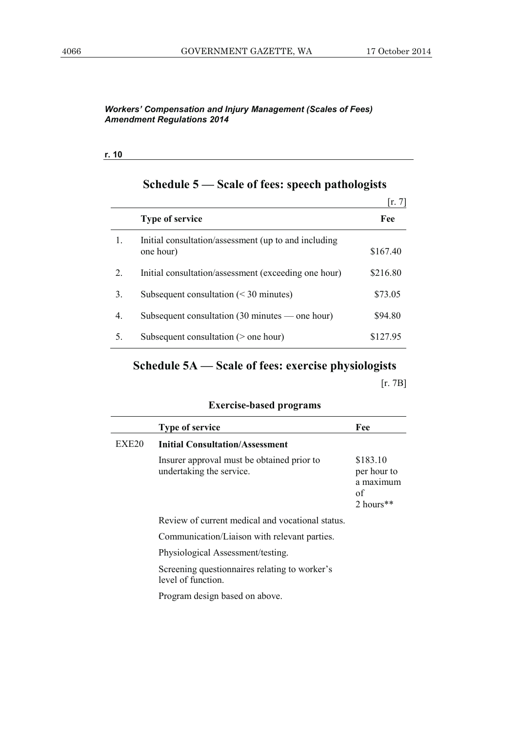### **r. 10**

|    |                                                                   | $\left  \mathbf{r} \right $ . 7 |
|----|-------------------------------------------------------------------|---------------------------------|
|    | <b>Type of service</b>                                            | Fee                             |
| 1. | Initial consultation/assessment (up to and including<br>one hour) | \$167.40                        |
| 2. | Initial consultation/assessment (exceeding one hour)              | \$216.80                        |
| 3. | Subsequent consultation $(30 \text{ minutes})$                    | \$73.05                         |
| 4. | Subsequent consultation $(30 \text{ minutes} - \text{one hour})$  | \$94.80                         |
| 5. | Subsequent consultation $($ > one hour)                           | \$127.95                        |

## **Schedule 5 — Scale of fees: speech pathologists**

# **Schedule 5A — Scale of fees: exercise physiologists**

[r. 7B]

|                   | <b>Type of service</b>                                                 | Fee                                                     |
|-------------------|------------------------------------------------------------------------|---------------------------------------------------------|
| EXE <sub>20</sub> | <b>Initial Consultation/Assessment</b>                                 |                                                         |
|                   | Insurer approval must be obtained prior to<br>undertaking the service. | \$183.10<br>per hour to<br>a maximum<br>of<br>2 hours** |
|                   | Review of current medical and vocational status.                       |                                                         |
|                   | Communication/Liaison with relevant parties.                           |                                                         |
|                   | Physiological Assessment/testing.                                      |                                                         |
|                   | Screening questionnaires relating to worker's<br>level of function     |                                                         |
|                   | Program design based on above.                                         |                                                         |

### **Exercise-based programs**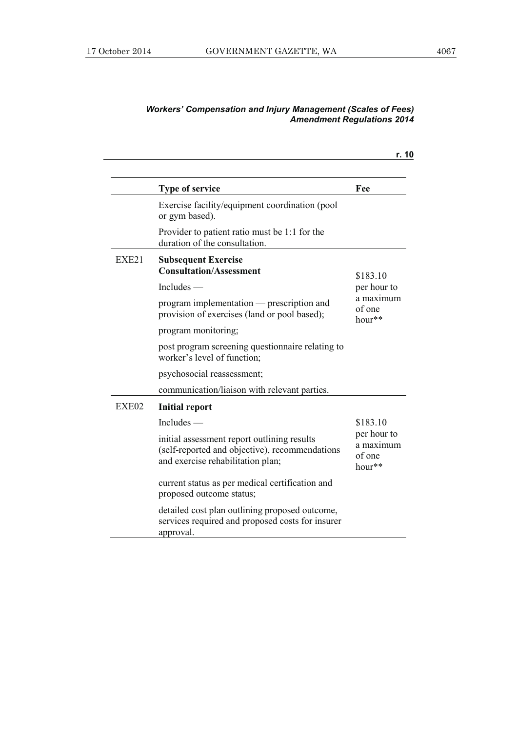| <b>Workers' Compensation and Injury Management (Scales of Fees)</b> |
|---------------------------------------------------------------------|
| <b>Amendment Regulations 2014</b>                                   |

|       |                                                                                                                                    | r. 10                                          |
|-------|------------------------------------------------------------------------------------------------------------------------------------|------------------------------------------------|
|       | <b>Type of service</b>                                                                                                             | Fee                                            |
|       | Exercise facility/equipment coordination (pool<br>or gym based).                                                                   |                                                |
|       | Provider to patient ratio must be 1:1 for the<br>duration of the consultation.                                                     |                                                |
| EXE21 | <b>Subsequent Exercise</b><br><b>Consultation/Assessment</b>                                                                       | \$183.10                                       |
|       | $Includes$ —                                                                                                                       | per hour to                                    |
|       | program implementation — prescription and<br>provision of exercises (land or pool based);                                          | a maximum<br>of one<br>$hour**$                |
|       | program monitoring;                                                                                                                |                                                |
|       | post program screening questionnaire relating to<br>worker's level of function;                                                    |                                                |
|       | psychosocial reassessment;                                                                                                         |                                                |
|       | communication/liaison with relevant parties.                                                                                       |                                                |
| EXE02 | <b>Initial report</b>                                                                                                              |                                                |
|       | $Includes$ —                                                                                                                       | \$183.10                                       |
|       | initial assessment report outlining results<br>(self-reported and objective), recommendations<br>and exercise rehabilitation plan; | per hour to<br>a maximum<br>of one<br>$hour**$ |
|       | current status as per medical certification and<br>proposed outcome status;                                                        |                                                |
|       | detailed cost plan outlining proposed outcome,<br>services required and proposed costs for insurer<br>approval.                    |                                                |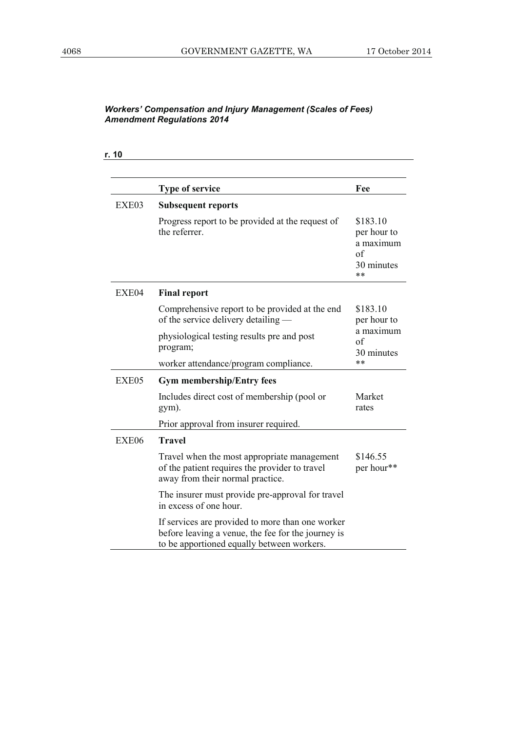| r. 10 |                                                                                                                                                      |                                                                |
|-------|------------------------------------------------------------------------------------------------------------------------------------------------------|----------------------------------------------------------------|
|       | <b>Type of service</b>                                                                                                                               | Fee                                                            |
| EXE03 | <b>Subsequent reports</b>                                                                                                                            |                                                                |
|       | Progress report to be provided at the request of<br>the referrer.                                                                                    | \$183.10<br>per hour to<br>a maximum<br>of<br>30 minutes<br>** |
| EXE04 | <b>Final report</b>                                                                                                                                  |                                                                |
|       | Comprehensive report to be provided at the end<br>of the service delivery detailing —                                                                | \$183.10<br>per hour to                                        |
|       | physiological testing results pre and post<br>program;                                                                                               | a maximum<br>of<br>30 minutes                                  |
|       | worker attendance/program compliance.                                                                                                                | **                                                             |
| EXE05 | <b>Gym membership/Entry fees</b>                                                                                                                     |                                                                |
|       | Includes direct cost of membership (pool or<br>gym).                                                                                                 | Market<br>rates                                                |
|       | Prior approval from insurer required.                                                                                                                |                                                                |
| EXE06 | <b>Travel</b>                                                                                                                                        |                                                                |
|       | Travel when the most appropriate management<br>of the patient requires the provider to travel<br>away from their normal practice.                    | \$146.55<br>per hour**                                         |
|       | The insurer must provide pre-approval for travel<br>in excess of one hour.                                                                           |                                                                |
|       | If services are provided to more than one worker<br>before leaving a venue, the fee for the journey is<br>to be apportioned equally between workers. |                                                                |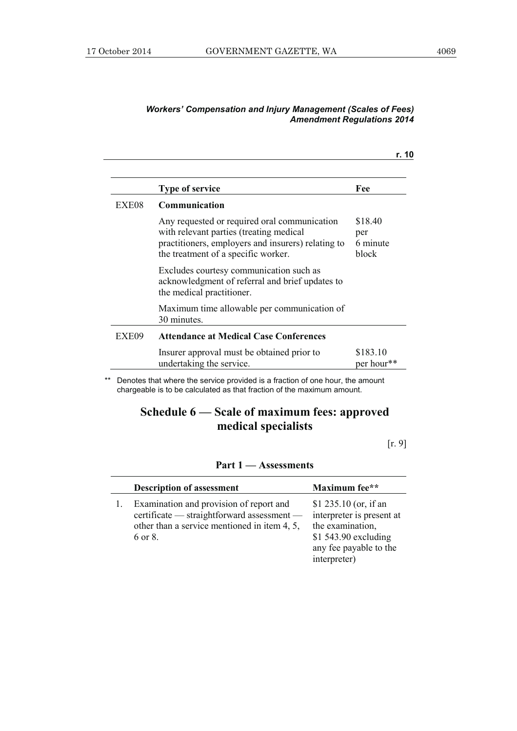|       | <b>Type of service</b>                                                                                                                                                               | Fee                                 |
|-------|--------------------------------------------------------------------------------------------------------------------------------------------------------------------------------------|-------------------------------------|
| EXE08 | Communication                                                                                                                                                                        |                                     |
|       | Any requested or required oral communication<br>with relevant parties (treating medical<br>practitioners, employers and insurers) relating to<br>the treatment of a specific worker. | \$18.40<br>per<br>6 minute<br>block |
|       | Excludes courtesy communication such as<br>acknowledgment of referral and brief updates to<br>the medical practitioner.                                                              |                                     |
|       | Maximum time allowable per communication of<br>30 minutes.                                                                                                                           |                                     |
| EXE09 | <b>Attendance at Medical Case Conferences</b>                                                                                                                                        |                                     |
|       | Insurer approval must be obtained prior to<br>undertaking the service.                                                                                                               | \$183.10<br>per hour <sup>**</sup>  |

\*\* Denotes that where the service provided is a fraction of one hour, the amount chargeable is to be calculated as that fraction of the maximum amount.

## **Schedule 6 — Scale of maximum fees: approved medical specialists**

[r. 9]

### **Part 1 — Assessments**

| <b>Description of assessment</b>                                                                                                                 | Maximum fee**                                                                                                                            |
|--------------------------------------------------------------------------------------------------------------------------------------------------|------------------------------------------------------------------------------------------------------------------------------------------|
| Examination and provision of report and<br>certificate — straightforward assessment —<br>other than a service mentioned in item 4, 5,<br>6 or 8. | \$1 235.10 (or, if an<br>interpreter is present at<br>the examination,<br>\$1 543.90 excluding<br>any fee payable to the<br>interpreter) |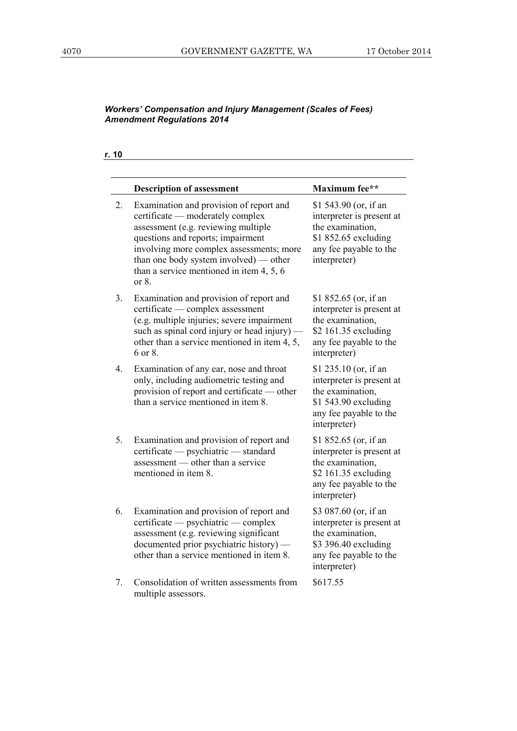**r. 10**

|                  | <b>Description of assessment</b>                                                                                                                                                                                                                                                                       | Maximum fee**                                                                                                                            |
|------------------|--------------------------------------------------------------------------------------------------------------------------------------------------------------------------------------------------------------------------------------------------------------------------------------------------------|------------------------------------------------------------------------------------------------------------------------------------------|
| 2.               | Examination and provision of report and<br>certificate — moderately complex<br>assessment (e.g. reviewing multiple<br>questions and reports; impairment<br>involving more complex assessments; more<br>than one body system involved) — other<br>than a service mentioned in item $4, 5, 6$<br>or $8.$ | \$1 543.90 (or, if an<br>interpreter is present at<br>the examination,<br>\$1 852.65 excluding<br>any fee payable to the<br>interpreter) |
| 3.               | Examination and provision of report and<br>certificate — complex assessment<br>(e.g. multiple injuries; severe impairment<br>such as spinal cord injury or head injury) —<br>other than a service mentioned in item 4, 5,<br>6 or 8.                                                                   | \$1 852.65 (or, if an<br>interpreter is present at<br>the examination,<br>\$2 161.35 excluding<br>any fee payable to the<br>interpreter) |
| $\overline{4}$ . | Examination of any ear, nose and throat<br>only, including audiometric testing and<br>provision of report and certificate — other<br>than a service mentioned in item 8.                                                                                                                               | \$1 235.10 (or, if an<br>interpreter is present at<br>the examination,<br>\$1 543.90 excluding<br>any fee payable to the<br>interpreter) |
| 5.               | Examination and provision of report and<br>certificate — psychiatric — standard<br>assessment — other than a service<br>mentioned in item 8.                                                                                                                                                           | \$1 852.65 (or, if an<br>interpreter is present at<br>the examination,<br>\$2 161.35 excluding<br>any fee payable to the<br>interpreter) |
| 6.               | Examination and provision of report and<br>certificate — psychiatric — complex<br>assessment (e.g. reviewing significant<br>documented prior psychiatric history) —<br>other than a service mentioned in item 8.                                                                                       | \$3 087.60 (or, if an<br>interpreter is present at<br>the examination,<br>\$3 396.40 excluding<br>any fee payable to the<br>interpreter) |
| 7.               | Consolidation of written assessments from<br>multiple assessors.                                                                                                                                                                                                                                       | \$617.55                                                                                                                                 |